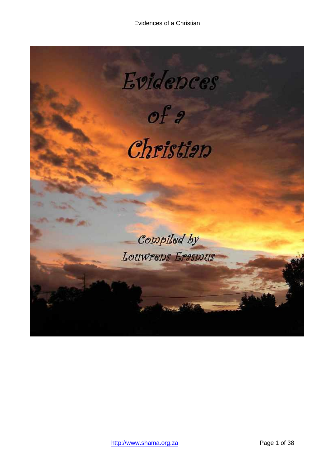<span id="page-0-0"></span>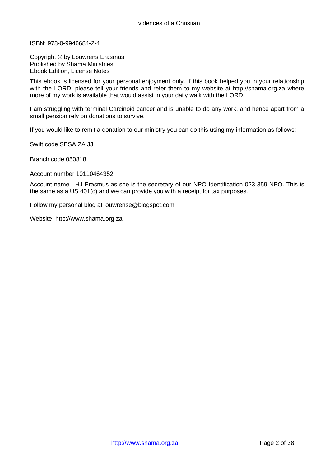ISBN: 978-0-9946684-2-4

Copyright © by Louwrens Erasmus Published by Shama Ministries Ebook Edition, License Notes

This ebook is licensed for your personal enjoyment only. If this book helped you in your relationship with the LORD, please tell your friends and refer them to my website at http://shama.org.za where more of my work is available that would assist in your daily walk with the LORD.

I am struggling with terminal Carcinoid cancer and is unable to do any work, and hence apart from a small pension rely on donations to survive.

If you would like to remit a donation to our ministry you can do this using my information as follows:

Swift code SBSA ZA JJ

Branch code 050818

Account number 10110464352

Account name : HJ Erasmus as she is the secretary of our NPO Identification 023 359 NPO. This is the same as a US 401(c) and we can provide you with a receipt for tax purposes.

Follow my personal blog at louwrense@blogspot.com

Website http://www.shama.org.za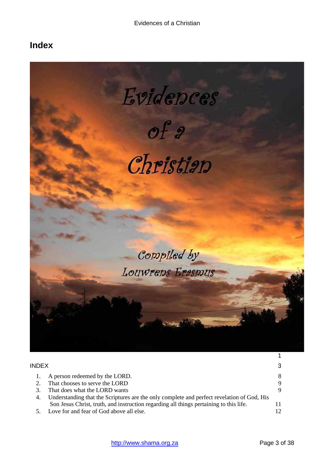# <span id="page-2-0"></span>**Index**



| <b>INDEX</b> |                                                                                            | 3  |
|--------------|--------------------------------------------------------------------------------------------|----|
|              | A person redeemed by the LORD.                                                             | 8  |
|              | That chooses to serve the LORD                                                             | 9  |
|              | That does what the LORD wants                                                              | 9  |
|              | Understanding that the Scriptures are the only complete and perfect revelation of God, His |    |
|              | Son Jesus Christ, truth, and instruction regarding all things pertaining to this life.     | 11 |
|              | Love for and fear of God above all else.                                                   | 12 |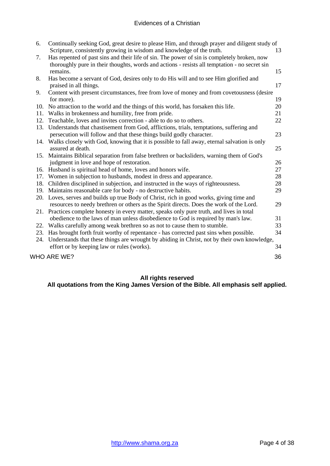## Evidences of a Christian

| 6.  | Continually seeking God, great desire to please Him, and through prayer and diligent study of<br>Scripture, consistently growing in wisdom and knowledge of the truth.                       | 13 |
|-----|----------------------------------------------------------------------------------------------------------------------------------------------------------------------------------------------|----|
| 7.  | Has repented of past sins and their life of sin. The power of sin is completely broken, now<br>thoroughly pure in their thoughts, words and actions - resists all temptation - no secret sin |    |
|     | remains.                                                                                                                                                                                     | 15 |
| 8.  | Has become a servant of God, desires only to do His will and to see Him glorified and                                                                                                        |    |
|     | praised in all things.                                                                                                                                                                       | 17 |
| 9.  | Content with present circumstances, free from love of money and from covetousness (desire                                                                                                    |    |
|     | for more).                                                                                                                                                                                   | 19 |
| 10. | No attraction to the world and the things of this world, has forsaken this life.                                                                                                             | 20 |
| 11. | Walks in brokenness and humility, free from pride.                                                                                                                                           | 21 |
| 12. | Teachable, loves and invites correction - able to do so to others.                                                                                                                           | 22 |
|     | 13. Understands that chastisement from God, afflictions, trials, temptations, suffering and                                                                                                  |    |
|     | persecution will follow and that these things build godly character.                                                                                                                         | 23 |
|     | 14. Walks closely with God, knowing that it is possible to fall away, eternal salvation is only                                                                                              |    |
|     | assured at death.                                                                                                                                                                            | 25 |
|     | 15. Maintains Biblical separation from false brethren or backsliders, warning them of God's                                                                                                  |    |
|     | judgment in love and hope of restoration.                                                                                                                                                    | 26 |
|     | 16. Husband is spiritual head of home, loves and honors wife.                                                                                                                                | 27 |
|     | 17. Women in subjection to husbands, modest in dress and appearance.                                                                                                                         | 28 |
|     | 18. Children disciplined in subjection, and instructed in the ways of righteousness.                                                                                                         | 28 |
|     | 19. Maintains reasonable care for body - no destructive habits.                                                                                                                              | 29 |
|     | 20. Loves, serves and builds up true Body of Christ, rich in good works, giving time and                                                                                                     |    |
|     | resources to needy brethren or others as the Spirit directs. Does the work of the Lord.                                                                                                      | 29 |
|     | 21. Practices complete honesty in every matter, speaks only pure truth, and lives in total                                                                                                   |    |
|     | obedience to the laws of man unless disobedience to God is required by man's law.                                                                                                            | 31 |
|     | 22. Walks carefully among weak brethren so as not to cause them to stumble.                                                                                                                  | 33 |
|     | 23. Has brought forth fruit worthy of repentance - has corrected past sins when possible.                                                                                                    | 34 |
|     | 24. Understands that these things are wrought by abiding in Christ, not by their own knowledge,                                                                                              |    |
|     | effort or by keeping law or rules (works).                                                                                                                                                   | 34 |
|     | WHO ARE WE?                                                                                                                                                                                  | 36 |
|     |                                                                                                                                                                                              |    |

## **All rights reserved**

**All quotations from the King James Version of the Bible. All emphasis self applied.**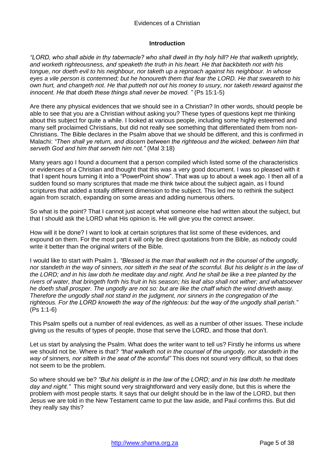#### Evidences of a Christian

#### **Introduction**

*"LORD, who shall abide in thy tabernacle? who shall dwell in thy holy hill? He that walketh uprightly, and worketh righteousness, and speaketh the truth in his heart. He that backbiteth not with his tongue, nor doeth evil to his neighbour, nor taketh up a reproach against his neighbour. In whose eyes a vile person is contemned; but he honoureth them that fear the LORD. He that sweareth to his own hurt, and changeth not. He that putteth not out his money to usury, nor taketh reward against the innocent. He that doeth these things shall never be moved. "* (Ps 15:1-5)

Are there any physical evidences that we should see in a Christian? In other words, should people be able to see that you are a Christian without asking you? These types of questions kept me thinking about this subject for quite a while. I looked at various people, including some highly esteemed and many self proclaimed Christians, but did not really see something that differentiated them from non-Christians. The Bible declares in the Psalm above that we should be different, and this is confirmed in Malachi: *"Then shall ye return, and discern between the righteous and the wicked, between him that serveth God and him that serveth him not."* (Mal 3:18)

Many years ago I found a document that a person compiled which listed some of the characteristics or evidences of a Christian and thought that this was a very good document. I was so pleased with it that I spent hours turning it into a "PowerPoint show". That was up to about a week ago. I then all of a sudden found so many scriptures that made me think twice about the subject again, as I found scriptures that added a totally different dimension to the subject. This led me to rethink the subject again from scratch, expanding on some areas and adding numerous others.

So what is the point? That I cannot just accept what someone else had written about the subject, but that I should ask the LORD what His opinion is. He will give you the correct answer.

How will it be done? I want to look at certain scriptures that list some of these evidences, and expound on them. For the most part it will only be direct quotations from the Bible, as nobody could write it better than the original writers of the Bible.

I would like to start with Psalm 1. *"Blessed is the man that walketh not in the counsel of the ungodly, nor standeth in the way of sinners, nor sitteth in the seat of the scornful. But his delight is in the law of the LORD; and in his law doth he meditate day and night. And he shall be like a tree planted by the rivers of water, that bringeth forth his fruit in his season; his leaf also shall not wither; and whatsoever he doeth shall prosper. The ungodly are not so: but are like the chaff which the wind driveth away. Therefore the ungodly shall not stand in the judgment, nor sinners in the congregation of the righteous. For the LORD knoweth the way of the righteous: but the way of the ungodly shall perish."*  (Ps 1:1-6)

This Psalm spells out a number of real evidences, as well as a number of other issues. These include giving us the results of types of people, those that serve the LORD, and those that don't.

Let us start by analysing the Psalm. What does the writer want to tell us? Firstly he informs us where we should not be. Where is that? *"that walketh not in the counsel of the ungodly, nor standeth in the way of sinners, nor sitteth in the seat of the scornful"* This does not sound very difficult, so that does not seem to be the problem.

So where should we be? *"But his delight is in the law of the LORD; and in his law doth he meditate*  day and night." This might sound very straightforward and very easily done, but this is where the problem with most people starts. It says that our delight should be in the law of the LORD, but then Jesus we are told in the New Testament came to put the law aside, and Paul confirms this. But did they really say this?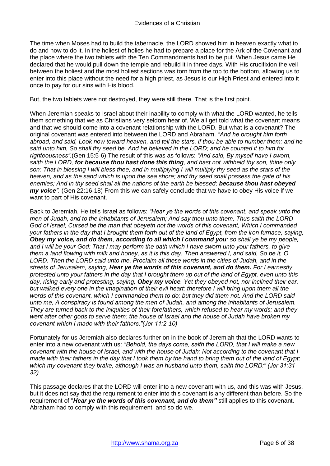The time when Moses had to build the tabernacle, the LORD showed him in heaven exactly what to do and how to do it. In the holiest of holies he had to prepare a place for the Ark of the Covenant and the place where the two tablets with the Ten Commandments had to be put. When Jesus came He declared that he would pull down the temple and rebuild it in three days. With His crucifixion the veil between the holiest and the most holiest sections was torn from the top to the bottom, allowing us to enter into this place without the need for a high priest, as Jesus is our High Priest and entered into it once to pay for our sins with His blood.

But, the two tablets were not destroyed, they were still there. That is the first point.

When Jeremiah speaks to Israel about their inability to comply with what the LORD wanted, he tells them something that we as Christians very seldom hear of. We all get told what the covenant means and that we should come into a covenant relationship with the LORD. But what is a covenant? The original covenant was entered into between the LORD and Abraham. *"And he brought him forth abroad, and said, Look now toward heaven, and tell the stars, if thou be able to number them: and he said unto him, So shall thy seed be. And he believed in the LORD; and he counted it to him for righteousness".*(Gen 15:5-6) The result of this was as follows: *"And said, By myself have I sworn, saith the LORD, for because thou hast done this thing, and hast not withheld thy son, thine only son: That in blessing I will bless thee, and in multiplying I will multiply thy seed as the stars of the heaven, and as the sand which is upon the sea shore; and thy seed shall possess the gate of his enemies; And in thy seed shall all the nations of the earth be blessed; because thou hast obeyed my voice".* (Gen 22:16-18) From this we can safely conclude that we have to obey His voice if we want to part of His covenant.

Back to Jeremiah. He tells Israel as follows: *"Hear ye the words of this covenant, and speak unto the men of Judah, and to the inhabitants of Jerusalem; And say thou unto them, Thus saith the LORD God of Israel; Cursed be the man that obeyeth not the words of this covenant, Which I commanded your fathers in the day that I brought them forth out of the land of Egypt, from the iron furnace, saying, Obey my voice, and do them, according to all which I command you: so shall ye be my people, and I will be your God: That I may perform the oath which I have sworn unto your fathers, to give them a land flowing with milk and honey, as it is this day. Then answered I, and said, So be it, O LORD. Then the LORD said unto me, Proclaim all these words in the cities of Judah, and in the streets of Jerusalem, saying, Hear ye the words of this covenant, and do them. For I earnestly protested unto your fathers in the day that I brought them up out of the land of Egypt, even unto this day, rising early and protesting, saying, Obey my voice. Yet they obeyed not, nor inclined their ear, but walked every one in the imagination of their evil heart: therefore I will bring upon them all the words of this covenant, which I commanded them to do; but they did them not. And the LORD said unto me, A conspiracy is found among the men of Judah, and among the inhabitants of Jerusalem. They are turned back to the iniquities of their forefathers, which refused to hear my words; and they went after other gods to serve them: the house of Israel and the house of Judah have broken my covenant which I made with their fathers."(Jer 11:2-10)*

Fortunately for us Jeremiah also declares further on in the book of Jeremiah that the LORD wants to enter into a new covenant with us: *"Behold, the days come, saith the LORD, that I will make a new covenant with the house of Israel, and with the house of Judah: Not according to the covenant that I made with their fathers in the day that I took them by the hand to bring them out of the land of Egypt; which my covenant they brake, although I was an husband unto them, saith the LORD:" (Jer 31:31- 32)*

This passage declares that the LORD will enter into a new covenant with us, and this was with Jesus, but it does not say that the requirement to enter into this covenant is any different than before. So the requirement of "*Hear ye the words of this covenant, and do them"* still applies to this covenant. Abraham had to comply with this requirement, and so do we.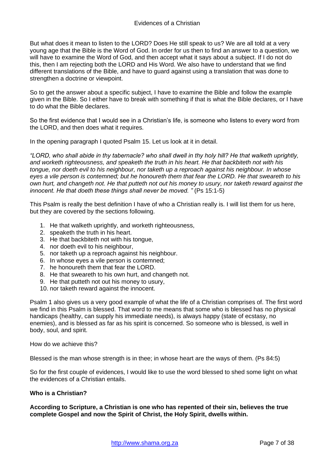But what does it mean to listen to the LORD? Does He still speak to us? We are all told at a very young age that the Bible is the Word of God. In order for us then to find an answer to a question, we will have to examine the Word of God, and then accept what it says about a subject. If I do not do this, then I am rejecting both the LORD and His Word. We also have to understand that we find different translations of the Bible, and have to guard against using a translation that was done to strengthen a doctrine or viewpoint.

So to get the answer about a specific subject, I have to examine the Bible and follow the example given in the Bible. So I either have to break with something if that is what the Bible declares, or I have to do what the Bible declares.

So the first evidence that I would see in a Christian's life, is someone who listens to every word from the LORD, and then does what it requires.

In the opening paragraph I quoted Psalm 15. Let us look at it in detail.

*"LORD, who shall abide in thy tabernacle? who shall dwell in thy holy hill? He that walketh uprightly, and worketh righteousness, and speaketh the truth in his heart. He that backbiteth not with his tongue, nor doeth evil to his neighbour, nor taketh up a reproach against his neighbour. In whose eyes a vile person is contemned; but he honoureth them that fear the LORD. He that sweareth to his own hurt, and changeth not. He that putteth not out his money to usury, nor taketh reward against the innocent. He that doeth these things shall never be moved. "* (Ps 15:1-5)

This Psalm is really the best definition I have of who a Christian really is. I will list them for us here, but they are covered by the sections following.

- 1. He that walketh uprightly, and worketh righteousness,
- 2. speaketh the truth in his heart.
- 3. He that backbiteth not with his tongue,
- 4. nor doeth evil to his neighbour,
- 5. nor taketh up a reproach against his neighbour.
- 6. In whose eyes a vile person is contemned;
- 7. he honoureth them that fear the LORD.
- 8. He that sweareth to his own hurt, and changeth not.
- 9. He that putteth not out his money to usury,
- 10. nor taketh reward against the innocent.

Psalm 1 also gives us a very good example of what the life of a Christian comprises of. The first word we find in this Psalm is blessed. That word to me means that some who is blessed has no physical handicaps (healthy, can supply his immediate needs), is always happy (state of ecstasy, no enemies), and is blessed as far as his spirit is concerned. So someone who is blessed, is well in body, soul, and spirit.

How do we achieve this?

Blessed is the man whose strength is in thee; in whose heart are the ways of them. (Ps 84:5)

So for the first couple of evidences, I would like to use the word blessed to shed some light on what the evidences of a Christian entails.

#### **Who is a Christian?**

**According to Scripture, a Christian is one who has repented of their sin, believes the true complete Gospel and now the Spirit of Christ, the Holy Spirit, dwells within.**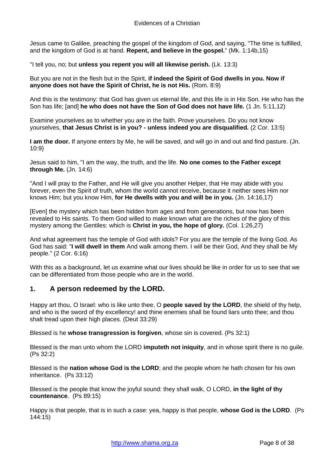Jesus came to Galilee, preaching the gospel of the kingdom of God, and saying, "The time is fulfilled, and the kingdom of God is at hand. **Repent, and believe in the gospel.**" (Mk. 1:14b,15)

"I tell you, no; but **unless you repent you will all likewise perish.** (Lk. 13:3)

But you are not in the flesh but in the Spirit, **if indeed the Spirit of God dwells in you. Now if anyone does not have the Spirit of Christ, he is not His.** (Rom. 8:9)

And this is the testimony: that God has given us eternal life, and this life is in His Son. He who has the Son has life; [and] **he who does not have the Son of God does not have life.** (1 Jn. 5:11,12)

Examine yourselves as to whether you are in the faith. Prove yourselves. Do you not know yourselves, **that Jesus Christ is in you? - unless indeed you are disqualified.** (2 Cor. 13:5)

**I am the door.** If anyone enters by Me, he will be saved, and will go in and out and find pasture. (Jn. 10:9)

Jesus said to him, "I am the way, the truth, and the life. **No one comes to the Father except through Me.** (Jn. 14:6)

"And I will pray to the Father, and He will give you another Helper, that He may abide with you forever, even the Spirit of truth, whom the world cannot receive, because it neither sees Him nor knows Him; but you know Him, **for He dwells with you and will be in you.** (Jn. 14:16,17)

[Even] the mystery which has been hidden from ages and from generations, but now has been revealed to His saints. To them God willed to make known what are the riches of the glory of this mystery among the Gentiles: which is **Christ in you, the hope of glory.** (Col. 1:26,27)

And what agreement has the temple of God with idols? For you are the temple of the living God. As God has said: "**I will dwell in them** And walk among them. I will be their God, And they shall be My people." (2 Cor. 6:16)

With this as a background, let us examine what our lives should be like in order for us to see that we can be differentiated from those people who are in the world.

## <span id="page-7-0"></span>**1. A person redeemed by the LORD.**

Happy art thou, O Israel: who is like unto thee, O **people saved by the LORD**, the shield of thy help, and who is the sword of thy excellency! and thine enemies shall be found liars unto thee; and thou shalt tread upon their high places. (Deut 33:29)

Blessed is he **whose transgression is forgiven**, whose sin is covered. (Ps 32:1)

Blessed is the man unto whom the LORD **imputeth not iniquity**, and in whose spirit there is no guile. (Ps 32:2)

Blessed is the **nation whose God is the LORD**; and the people whom he hath chosen for his own inheritance. (Ps 33:12)

Blessed is the people that know the joyful sound: they shall walk, O LORD, **in the light of thy countenance**. (Ps 89:15)

Happy is that people, that is in such a case: yea, happy is that people, **whose God is the LORD**. (Ps 144:15)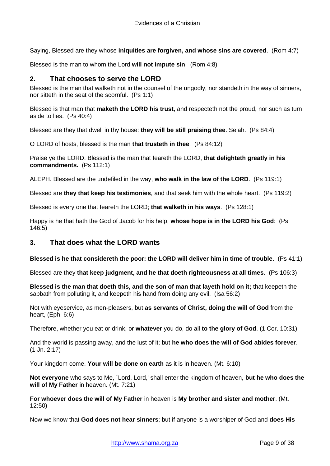Saying, Blessed are they whose **iniquities are forgiven, and whose sins are covered**. (Rom 4:7)

<span id="page-8-0"></span>Blessed is the man to whom the Lord **will not impute sin**. (Rom 4:8)

## **2. That chooses to serve the LORD**

Blessed is the man that walketh not in the counsel of the ungodly, nor standeth in the way of sinners, nor sitteth in the seat of the scornful. (Ps 1:1)

Blessed is that man that **maketh the LORD his trust**, and respecteth not the proud, nor such as turn aside to lies. (Ps 40:4)

Blessed are they that dwell in thy house: **they will be still praising thee**. Selah. (Ps 84:4)

O LORD of hosts, blessed is the man **that trusteth in thee**. (Ps 84:12)

Praise ye the LORD. Blessed is the man that feareth the LORD, **that delighteth greatly in his commandments.** (Ps 112:1)

ALEPH. Blessed are the undefiled in the way, **who walk in the law of the LORD**. (Ps 119:1)

Blessed are **they that keep his testimonies**, and that seek him with the whole heart. (Ps 119:2)

Blessed is every one that feareth the LORD; **that walketh in his ways**. (Ps 128:1)

Happy is he that hath the God of Jacob for his help, **whose hope is in the LORD his God**: (Ps 146:5)

## <span id="page-8-1"></span>**3. That does what the LORD wants**

**Blessed is he that considereth the poor: the LORD will deliver him in time of trouble**. (Ps 41:1)

Blessed are they **that keep judgment, and he that doeth righteousness at all times**. (Ps 106:3)

**Blessed is the man that doeth this, and the son of man that layeth hold on it;** that keepeth the sabbath from polluting it, and keepeth his hand from doing any evil. (Isa 56:2)

Not with eyeservice, as men-pleasers, but **as servants of Christ, doing the will of God** from the heart, (Eph. 6:6)

Therefore, whether you eat or drink, or **whatever** you do, do all **to the glory of God**. (1 Cor. 10:31)

And the world is passing away, and the lust of it; but **he who does the will of God abides forever**. (1 Jn. 2:17)

Your kingdom come. **Your will be done on earth** as it is in heaven. (Mt. 6:10)

**Not everyone** who says to Me, `Lord, Lord,' shall enter the kingdom of heaven, **but he who does the will of My Father** in heaven. (Mt. 7:21)

**For whoever does the will of My Father** in heaven is **My brother and sister and mother**. (Mt. 12:50)

Now we know that **God does not hear sinners**; but if anyone is a worshiper of God and **does His**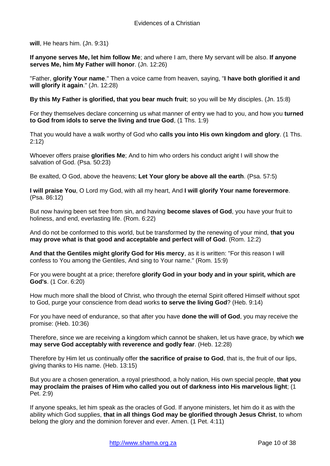**will**, He hears him. (Jn. 9:31)

**If anyone serves Me, let him follow Me**; and where I am, there My servant will be also. **If anyone serves Me, him My Father will honor**. (Jn. 12:26)

"Father, **glorify Your name**." Then a voice came from heaven, saying, "**I have both glorified it and will glorify it again**." (Jn. 12:28)

**By this My Father is glorified, that you bear much fruit**; so you will be My disciples. (Jn. 15:8)

For they themselves declare concerning us what manner of entry we had to you, and how you **turned to God from idols to serve the living and true God**, (1 Ths. 1:9)

That you would have a walk worthy of God who **calls you into His own kingdom and glory**. (1 Ths. 2:12)

Whoever offers praise **glorifies Me**; And to him who orders his conduct aright I will show the salvation of God. (Psa. 50:23)

Be exalted, O God, above the heavens; **Let Your glory be above all the earth**. (Psa. 57:5)

**I will praise You**, O Lord my God, with all my heart, And **I will glorify Your name forevermore**. (Psa. 86:12)

But now having been set free from sin, and having **become slaves of God**, you have your fruit to holiness, and end, everlasting life. (Rom. 6:22)

And do not be conformed to this world, but be transformed by the renewing of your mind, **that you may prove what is that good and acceptable and perfect will of God**. (Rom. 12:2)

**And that the Gentiles might glorify God for His mercy**, as it is written: "For this reason I will confess to You among the Gentiles, And sing to Your name." (Rom. 15:9)

For you were bought at a price; therefore **glorify God in your body and in your spirit, which are God's**. (1 Cor. 6:20)

How much more shall the blood of Christ, who through the eternal Spirit offered Himself without spot to God, purge your conscience from dead works **to serve the living God**? (Heb. 9:14)

For you have need of endurance, so that after you have **done the will of God**, you may receive the promise: (Heb. 10:36)

Therefore, since we are receiving a kingdom which cannot be shaken, let us have grace, by which **we may serve God acceptably with reverence and godly fear**. (Heb. 12:28)

Therefore by Him let us continually offer **the sacrifice of praise to God**, that is, the fruit of our lips, giving thanks to His name. (Heb. 13:15)

But you are a chosen generation, a royal priesthood, a holy nation, His own special people, **that you may proclaim the praises of Him who called you out of darkness into His marvelous light**; (1 Pet. 2:9)

If anyone speaks, let him speak as the oracles of God. If anyone ministers, let him do it as with the ability which God supplies, **that in all things God may be glorified through Jesus Christ**, to whom belong the glory and the dominion forever and ever. Amen. (1 Pet. 4:11)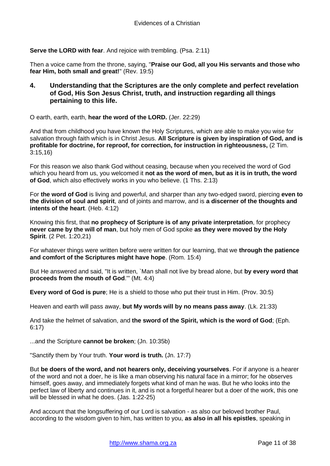**Serve the LORD with fear**. And rejoice with trembling. (Psa. 2:11)

Then a voice came from the throne, saying, "**Praise our God, all you His servants and those who fear Him, both small and great!**" (Rev. 19:5)

<span id="page-10-0"></span>**4. Understanding that the Scriptures are the only complete and perfect revelation of God, His Son Jesus Christ, truth, and instruction regarding all things pertaining to this life.** 

O earth, earth, earth, **hear the word of the LORD.** (Jer. 22:29)

And that from childhood you have known the Holy Scriptures, which are able to make you wise for salvation through faith which is in Christ Jesus. **All Scripture is given by inspiration of God, and is profitable for doctrine, for reproof, for correction, for instruction in righteousness,** (2 Tim. 3:15,16)

For this reason we also thank God without ceasing, because when you received the word of God which you heard from us, you welcomed it **not as the word of men, but as it is in truth, the word of God**, which also effectively works in you who believe. (1 Ths. 2:13)

For **the word of God** is living and powerful, and sharper than any two-edged sword, piercing **even to the division of soul and spirit**, and of joints and marrow, and is **a discerner of the thoughts and intents of the heart**. (Heb. 4:12)

Knowing this first, that **no prophecy of Scripture is of any private interpretation**, for prophecy **never came by the will of man**, but holy men of God spoke **as they were moved by the Holy Spirit**. (2 Pet. 1:20,21)

For whatever things were written before were written for our learning, that we **through the patience and comfort of the Scriptures might have hope**. (Rom. 15:4)

But He answered and said, "It is written, `Man shall not live by bread alone, but **by every word that proceeds from the mouth of God**.'" (Mt. 4:4)

**Every word of God is pure**; He is a shield to those who put their trust in Him. (Prov. 30:5)

Heaven and earth will pass away, **but My words will by no means pass away**. (Lk. 21:33)

And take the helmet of salvation, and **the sword of the Spirit, which is the word of God**; (Eph. 6:17)

...and the Scripture **cannot be broken**; (Jn. 10:35b)

"Sanctify them by Your truth. **Your word is truth.** (Jn. 17:7)

But **be doers of the word, and not hearers only, deceiving yourselves**. For if anyone is a hearer of the word and not a doer, he is like a man observing his natural face in a mirror; for he observes himself, goes away, and immediately forgets what kind of man he was. But he who looks into the perfect law of liberty and continues in it, and is not a forgetful hearer but a doer of the work, this one will be blessed in what he does. (Jas. 1:22-25)

And account that the longsuffering of our Lord is salvation - as also our beloved brother Paul, according to the wisdom given to him, has written to you, **as also in all his epistles**, speaking in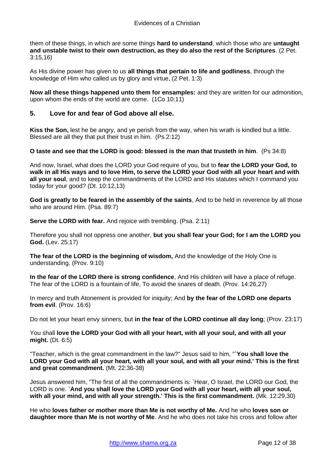them of these things, in which are some things **hard to understand**, which those who are **untaught and unstable twist to their own destruction, as they do also the rest of the Scriptures**. (2 Pet. 3:15,16)

As His divine power has given to us **all things that pertain to life and godliness**, through the knowledge of Him who called us by glory and virtue, (2 Pet. 1:3)

**Now all these things happened unto them for ensamples:** and they are written for our admonition, upon whom the ends of the world are come. (1Co 10:11)

## <span id="page-11-0"></span>**5. Love for and fear of God above all else.**

**Kiss the Son,** lest he be angry, and ye perish from the way, when his wrath is kindled but a little. Blessed are all they that put their trust in him. (Ps 2:12)

**O taste and see that the LORD is good: blessed is the man that trusteth in him**. (Ps 34:8)

And now, Israel, what does the LORD your God require of you, but to **fear the LORD your God, to walk in all His ways and to love Him, to serve the LORD your God with all your heart and with all your soul**, and to keep the commandments of the LORD and His statutes which I command you today for your good? (Dt. 10:12,13)

**God is greatly to be feared in the assembly of the saints**, And to be held in reverence by all those who are around Him. (Psa. 89:7)

**Serve the LORD with fear.** And rejoice with trembling. (Psa. 2:11)

Therefore you shall not oppress one another, **but you shall fear your God; for I am the LORD you God.** (Lev. 25:17)

**The fear of the LORD is the beginning of wisdom,** And the knowledge of the Holy One is understanding. (Prov. 9:10)

**In the fear of the LORD there is strong confidence**, And His children will have a place of refuge. The fear of the LORD is a fountain of life, To avoid the snares of death. (Prov. 14:26,27)

In mercy and truth Atonement is provided for iniquity; And **by the fear of the LORD one departs from evil**. (Prov. 16:6)

Do not let your heart envy sinners, but **in the fear of the LORD continue all day long**; (Prov. 23:17)

You shall **love the LORD your God with all your heart, with all your soul, and with all your might.** (Dt. 6:5)

"Teacher, which is the great commandment in the law?" Jesus said to him, "**`You shall love the LORD your God with all your heart, with all your soul, and with all your mind.' This is the first and great commandment.** (Mt. 22:36-38)

Jesus answered him, "The first of all the commandments is: `Hear, O Israel, the LORD our God, the LORD is one. **`And you shall love the LORD your God with all your heart, with all your soul, with all your mind, and with all your strength.' This is the first commandment.** (Mk. 12:29,30)

He who **loves father or mother more than Me is not worthy of Me.** And he who **loves son or daughter more than Me is not worthy of Me**. And he who does not take his cross and follow after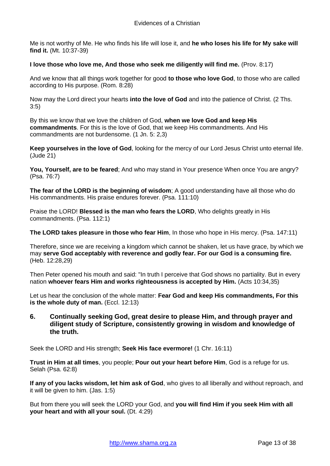Me is not worthy of Me. He who finds his life will lose it, and **he who loses his life for My sake will find it.** (Mt. 10:37-39)

#### **I love those who love me, And those who seek me diligently will find me.** (Prov. 8:17)

And we know that all things work together for good **to those who love God**, to those who are called according to His purpose. (Rom. 8:28)

Now may the Lord direct your hearts **into the love of God** and into the patience of Christ. (2 Ths. 3:5)

By this we know that we love the children of God, **when we love God and keep His commandments**. For this is the love of God, that we keep His commandments. And His commandments are not burdensome. (1 Jn. 5: 2,3)

**Keep yourselves in the love of God**, looking for the mercy of our Lord Jesus Christ unto eternal life. (Jude 21)

**You, Yourself, are to be feared**; And who may stand in Your presence When once You are angry? (Psa. 76:7)

**The fear of the LORD is the beginning of wisdom**; A good understanding have all those who do His commandments. His praise endures forever. (Psa. 111:10)

Praise the LORD! **Blessed is the man who fears the LORD**, Who delights greatly in His commandments. (Psa. 112:1)

**The LORD takes pleasure in those who fear Him**, In those who hope in His mercy. (Psa. 147:11)

Therefore, since we are receiving a kingdom which cannot be shaken, let us have grace, by which we may **serve God acceptably with reverence and godly fear. For our God is a consuming fire.** (Heb. 12:28,29)

Then Peter opened his mouth and said: "In truth I perceive that God shows no partiality. But in every nation **whoever fears Him and works righteousness is accepted by Him.** (Acts 10:34,35)

Let us hear the conclusion of the whole matter: **Fear God and keep His commandments, For this is the whole duty of man.** (Eccl. 12:13)

<span id="page-12-0"></span>**6. Continually seeking God, great desire to please Him, and through prayer and diligent study of Scripture, consistently growing in wisdom and knowledge of the truth.** 

Seek the LORD and His strength; **Seek His face evermore!** (1 Chr. 16:11)

**Trust in Him at all times**, you people; **Pour out your heart before Him**, God is a refuge for us. Selah (Psa. 62:8)

**If any of you lacks wisdom, let him ask of God**, who gives to all liberally and without reproach, and it will be given to him. (Jas. 1:5)

But from there you will seek the LORD your God, and **you will find Him if you seek Him with all your heart and with all your soul.** (Dt. 4:29)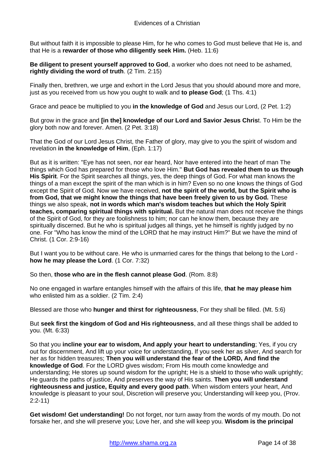But without faith it is impossible to please Him, for he who comes to God must believe that He is, and that He is a **rewarder of those who diligently seek Him.** (Heb. 11:6)

**Be diligent to present yourself approved to God**, a worker who does not need to be ashamed, **rightly dividing the word of truth**. (2 Tim. 2:15)

Finally then, brethren, we urge and exhort in the Lord Jesus that you should abound more and more, just as you received from us how you ought to walk and **to please God**; (1 Ths. 4:1)

Grace and peace be multiplied to you **in the knowledge of God** and Jesus our Lord, (2 Pet. 1:2)

But grow in the grace and **[in the] knowledge of our Lord and Savior Jesus Chris**t. To Him be the glory both now and forever. Amen. (2 Pet. 3:18)

That the God of our Lord Jesus Christ, the Father of glory, may give to you the spirit of wisdom and revelation **in the knowledge of Him**, (Eph. 1:17)

But as it is written: "Eye has not seen, nor ear heard, Nor have entered into the heart of man The things which God has prepared for those who love Him." **But God has revealed them to us through His Spirit**. For the Spirit searches all things, yes, the deep things of God. For what man knows the things of a man except the spirit of the man which is in him? Even so no one knows the things of God except the Spirit of God. Now we have received, **not the spirit of the world, but the Spirit who is from God, that we might know the things that have been freely given to us by God.** These things we also speak, **not in words which man's wisdom teaches but which the Holy Spirit teaches, comparing spiritual things with spiritual.** But the natural man does not receive the things of the Spirit of God, for they are foolishness to him; nor can he know them, because they are spiritually discerned. But he who is spiritual judges all things, yet he himself is rightly judged by no one. For "Who has know the mind of the LORD that he may instruct Him?" But we have the mind of Christ. (1 Cor. 2:9-16)

But I want you to be without care. He who is unmarried cares for the things that belong to the Lord **how he may please the Lord**. (1 Cor. 7:32)

So then, **those who are in the flesh cannot please God**. (Rom. 8:8)

No one engaged in warfare entangles himself with the affairs of this life, **that he may please him** who enlisted him as a soldier. (2 Tim. 2:4)

Blessed are those who **hunger and thirst for righteousness**, For they shall be filled. (Mt. 5:6)

But **seek first the kingdom of God and His righteousness**, and all these things shall be added to you. (Mt. 6:33)

So that you **incline your ear to wisdom, And apply your heart to understanding**; Yes, if you cry out for discernment, And lift up your voice for understanding, If you seek her as silver, And search for her as for hidden treasures; **Then you will understand the fear of the LORD, And find the knowledge of God**. For the LORD gives wisdom; From His mouth come knowledge and understanding; He stores up sound wisdom for the upright; He is a shield to those who walk uprightly; He guards the paths of justice, And preserves the way of His saints. **Then you will understand righteousness and justice, Equity and every good path**. When wisdom enters your heart, And knowledge is pleasant to your soul, Discretion will preserve you; Understanding will keep you, (Prov. 2:2-11)

**Get wisdom! Get understanding!** Do not forget, nor turn away from the words of my mouth. Do not forsake her, and she will preserve you; Love her, and she will keep you. **Wisdom is the principal**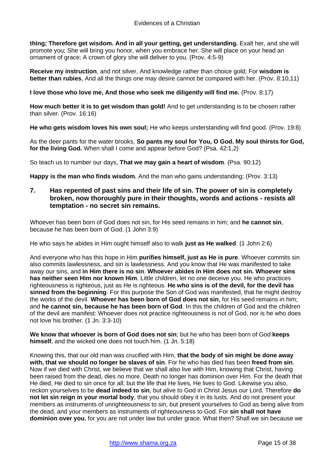**thing; Therefore get wisdom. And in all your getting, get understanding.** Exalt her, and she will promote you; She will bring you honor, when you embrace her. She will place on your head an ornament of grace; A crown of glory she will deliver to you. (Prov. 4:5-9)

**Receive my instruction**, and not silver, And knowledge rather than choice gold; For **wisdom is better than rubies**, And all the things one may desire cannot be compared with her. (Prov. 8:10,11)

**I love those who love me, And those who seek me diligently will find me.** (Prov. 8:17)

**How much better it is to get wisdom than gold!** And to get understanding is to be chosen rather than silver. (Prov. 16:16)

**He who gets wisdom loves his own soul;** He who keeps understanding will find good. (Prov. 19:8)

As the deer pants for the water brooks, **So pants my soul for You, O God. My soul thirsts for God, for the living God.** When shall I come and appear before God? (Psa. 42:1,2)

So teach us to number our days, **That we may gain a heart of wisdom**. (Psa. 90:12)

**Happy is the man who finds wisdom**, And the man who gains understanding; (Prov. 3:13)

<span id="page-14-0"></span>**7. Has repented of past sins and their life of sin. The power of sin is completely broken, now thoroughly pure in their thoughts, words and actions - resists all temptation - no secret sin remains.** 

Whoever has been born of God does not sin, for His seed remains in him; and **he cannot sin**, because he has been born of God. (1 John 3:9)

He who says he abides in Him ought himself also to walk **just as He walked**. (1 John 2:6)

And everyone who has this hope in Him **purifies himself, just as He is pure**. Whoever commits sin also commits lawlessness, and sin is lawlessness. And you know that He was manifested to take away our sins, and **in Him there is no sin**. **Whoever abides in Him does not sin. Whoever sins has neither seen Him nor known Him**. Little children, let no one deceive you. He who practices righteousness is righteous, just as He is righteous. **He who sins is of the devil, for the devil has sinned from the beginning**. For this purpose the Son of God was manifested, that he might destroy the works of the devil. **Whoever has been born of God does not sin**, for His seed remains in him; and **he cannot sin, because he has been born of God**. In this the children of God and the children of the devil are manifest: Whoever does not practice righteousness is not of God, nor is he who does not love his brother. (1 Jn. 3:3-10)

**We know that whoever is born of God does not sin**; but he who has been born of God **keeps himself**, and the wicked one does not touch him. (1 Jn. 5:18)

Knowing this, that our old man was crucified with Him, **that the body of sin might be done away with, that we should no longer be slaves of sin**. For he who has died has been **freed from sin**. Now if we died with Christ, we believe that we shall also live with Him, knowing that Christ, having been raised from the dead, dies no more. Death no longer has dominion over Him. For the death that He died, He died to sin once for all; but the life that He lives, He lives to God. Likewise you also, reckon yourselves to be **dead indeed to sin**, but alive to God in Christ Jesus our Lord. Therefore **do not let sin reign in your mortal body**, that you should obey it in its lusts. And do not present your members as instruments of unrighteousness to sin, but present yourselves to God as being alive from the dead, and your members as instruments of righteousness to God. For **sin shall not have dominion over you**, for you are not under law but under grace. What then? Shall we sin because we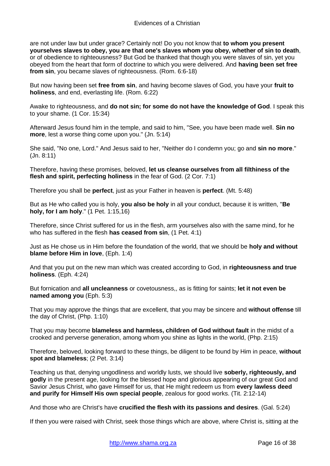are not under law but under grace? Certainly not! Do you not know that **to whom you present yourselves slaves to obey, you are that one's slaves whom you obey, whether of sin to death**, or of obedience to righteousness? But God be thanked that though you were slaves of sin, yet you obeyed from the heart that form of doctrine to which you were delivered. And **having been set free from sin.** you became slaves of righteousness. (Rom. 6:6-18)

But now having been set **free from sin**, and having become slaves of God, you have your **fruit to holiness**, and end, everlasting life. (Rom. 6:22)

Awake to righteousness, and **do not sin; for some do not have the knowledge of God**. I speak this to your shame. (1 Cor. 15:34)

Afterward Jesus found him in the temple, and said to him, "See, you have been made well. **Sin no more**, lest a worse thing come upon you." (Jn. 5:14)

She said, "No one, Lord." And Jesus said to her, "Neither do I condemn you; go and **sin no more**." (Jn. 8:11)

Therefore, having these promises, beloved, **let us cleanse ourselves from all filthiness of the flesh and spirit, perfecting holiness** in the fear of God. (2 Cor. 7:1)

Therefore you shall be **perfect**, just as your Father in heaven is **perfect**. (Mt. 5:48)

But as He who called you is holy, **you also be holy** in all your conduct, because it is written, "**Be holy, for I am holy**." (1 Pet. 1:15,16)

Therefore, since Christ suffered for us in the flesh, arm yourselves also with the same mind, for he who has suffered in the flesh **has ceased from sin**, (1 Pet. 4:1)

Just as He chose us in Him before the foundation of the world, that we should be **holy and without blame before Him in love**, (Eph. 1:4)

And that you put on the new man which was created according to God, in **righteousness and true holiness**. (Eph. 4:24)

But fornication and **all uncleanness** or covetousness,, as is fitting for saints; **let it not even be named among you** (Eph. 5:3)

That you may approve the things that are excellent, that you may be sincere and **without offense** till the day of Christ, (Php. 1:10)

That you may become **blameless and harmless, children of God without fault** in the midst of a crooked and perverse generation, among whom you shine as lights in the world, (Php. 2:15)

Therefore, beloved, looking forward to these things, be diligent to be found by Him in peace, **without spot and blameless**; (2 Pet. 3:14)

Teaching us that, denying ungodliness and worldly lusts, we should live **soberly, righteously, and godly** in the present age, looking for the blessed hope and glorious appearing of our great God and Savior Jesus Christ, who gave Himself for us, that He might redeem us from **every lawless deed and purify for Himself His own special people**, zealous for good works. (Tit. 2:12-14)

And those who are Christ's have **crucified the flesh with its passions and desires**. (Gal. 5:24)

If then you were raised with Christ, seek those things which are above, where Christ is, sitting at the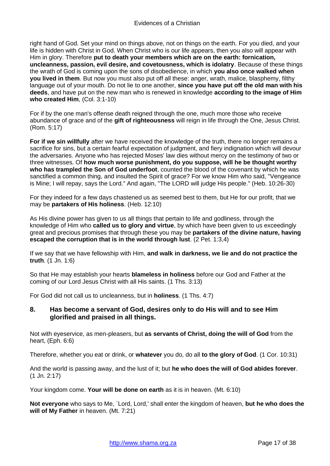right hand of God. Set your mind on things above, not on things on the earth. For you died, and your life is hidden with Christ in God. When Christ who is our life appears, then you also will appear with Him in glory. Therefore **put to death your members which are on the earth: fornication, uncleanness, passion, evil desire, and covetousness, which is idolatry**. Because of these things the wrath of God is coming upon the sons of disobedience, in which **you also once walked when you lived in them**. But now you must also put off all these: anger, wrath, malice, blasphemy, filthy language out of your mouth. Do not lie to one another, **since you have put off the old man with his deeds**, and have put on the new man who is renewed in knowledge **according to the image of Him who created Him**, (Col. 3:1-10)

For if by the one man's offense death reigned through the one, much more those who receive abundance of grace and of the **gift of righteousness** will reign in life through the One, Jesus Christ. (Rom. 5:17)

**For if we sin willfully** after we have received the knowledge of the truth, there no longer remains a sacrifice for sins, but a certain fearful expectation of judgment, and fiery indignation which will devour the adversaries. Anyone who has rejected Moses' law dies without mercy on the testimony of two or three witnesses. Of **how much worse punishment, do you suppose, will he be thought worthy who has trampled the Son of God underfoot**, counted the blood of the covenant by which he was sanctified a common thing, and insulted the Spirit of grace? For we know Him who said, "Vengeance is Mine; I will repay, says the Lord." And again, "The LORD will judge His people." (Heb. 10:26-30)

For they indeed for a few days chastened us as seemed best to them, but He for our profit, that we may be **partakers of His holiness**. (Heb. 12:10)

As His divine power has given to us all things that pertain to life and godliness, through the knowledge of Him who **called us to glory and virtue**, by which have been given to us exceedingly great and precious promises that through these you may be **partakers of the divine nature, having escaped the corruption that is in the world through lust**. (2 Pet. 1:3,4)

If we say that we have fellowship with Him, **and walk in darkness, we lie and do not practice the truth**. (1 Jn. 1:6)

So that He may establish your hearts **blameless in holiness** before our God and Father at the coming of our Lord Jesus Christ with all His saints. (1 Ths. 3:13)

For God did not call us to uncleanness, but in **holiness**. (1 Ths. 4:7)

## <span id="page-16-0"></span>**8. Has become a servant of God, desires only to do His will and to see Him glorified and praised in all things.**

Not with eyeservice, as men-pleasers, but **as servants of Christ, doing the will of God** from the heart, (Eph. 6:6)

Therefore, whether you eat or drink, or **whatever** you do, do all **to the glory of God**. (1 Cor. 10:31)

And the world is passing away, and the lust of it; but **he who does the will of God abides forever**. (1 Jn. 2:17)

Your kingdom come. **Your will be done on earth** as it is in heaven. (Mt. 6:10)

**Not everyone** who says to Me, `Lord, Lord,' shall enter the kingdom of heaven, **but he who does the will of My Father** in heaven. (Mt. 7:21)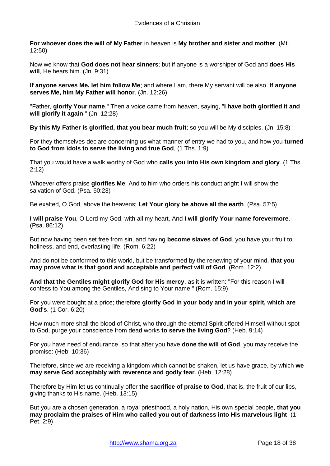**For whoever does the will of My Father** in heaven is **My brother and sister and mother**. (Mt. 12:50)

Now we know that **God does not hear sinners**; but if anyone is a worshiper of God and **does His will**, He hears him. (Jn. 9:31)

**If anyone serves Me, let him follow Me**; and where I am, there My servant will be also. **If anyone serves Me, him My Father will honor**. (Jn. 12:26)

"Father, **glorify Your name**." Then a voice came from heaven, saying, "**I have both glorified it and will glorify it again**." (Jn. 12:28)

**By this My Father is glorified, that you bear much fruit**; so you will be My disciples. (Jn. 15:8)

For they themselves declare concerning us what manner of entry we had to you, and how you **turned to God from idols to serve the living and true God**, (1 Ths. 1:9)

That you would have a walk worthy of God who **calls you into His own kingdom and glory**. (1 Ths. 2:12)

Whoever offers praise **glorifies Me**; And to him who orders his conduct aright I will show the salvation of God. (Psa. 50:23)

Be exalted, O God, above the heavens; **Let Your glory be above all the earth**. (Psa. 57:5)

**I will praise You**, O Lord my God, with all my heart, And **I will glorify Your name forevermore**. (Psa. 86:12)

But now having been set free from sin, and having **become slaves of God**, you have your fruit to holiness, and end, everlasting life. (Rom. 6:22)

And do not be conformed to this world, but be transformed by the renewing of your mind, **that you may prove what is that good and acceptable and perfect will of God**. (Rom. 12:2)

**And that the Gentiles might glorify God for His mercy**, as it is written: "For this reason I will confess to You among the Gentiles, And sing to Your name." (Rom. 15:9)

For you were bought at a price; therefore **glorify God in your body and in your spirit, which are God's**. (1 Cor. 6:20)

How much more shall the blood of Christ, who through the eternal Spirit offered Himself without spot to God, purge your conscience from dead works **to serve the living God**? (Heb. 9:14)

For you have need of endurance, so that after you have **done the will of God**, you may receive the promise: (Heb. 10:36)

Therefore, since we are receiving a kingdom which cannot be shaken, let us have grace, by which **we may serve God acceptably with reverence and godly fear**. (Heb. 12:28)

Therefore by Him let us continually offer **the sacrifice of praise to God**, that is, the fruit of our lips, giving thanks to His name. (Heb. 13:15)

But you are a chosen generation, a royal priesthood, a holy nation, His own special people, **that you may proclaim the praises of Him who called you out of darkness into His marvelous light**; (1 Pet. 2:9)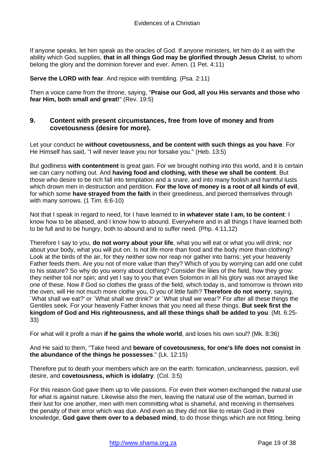If anyone speaks, let him speak as the oracles of God. If anyone ministers, let him do it as with the ability which God supplies, **that in all things God may be glorified through Jesus Christ**, to whom belong the glory and the dominion forever and ever. Amen. (1 Pet. 4:11)

**Serve the LORD with fear.** And rejoice with trembling. (Psa. 2:11)

Then a voice came from the throne, saying, "**Praise our God, all you His servants and those who fear Him, both small and great!**" (Rev. 19:5)

## <span id="page-18-0"></span>**9. Content with present circumstances, free from love of money and from covetousness (desire for more).**

Let your conduct be **without covetousness, and be content with such things as you have**. For He Himself has said, "I will never leave you nor forsake you." (Heb. 13:5)

But godliness **with contentment** is great gain. For we brought nothing into this world, and it is certain we can carry nothing out. And **having food and clothing, with these we shall be content**. But those who desire to be rich fall into temptation and a snare, and into many foolish and harmful lusts which drown men in destruction and perdition. **For the love of money is a root of all kinds of evil**, for which some **have strayed from the faith** in their greediness, and pierced themselves through with many sorrows. (1 Tim. 6:6-10)

Not that I speak in regard to need, for I have learned to **in whatever state I am, to be content**: I know how to be abased, and I know how to abound. Everywhere and in all things I have learned both to be full and to be hungry, both to abound and to suffer need. (Php. 4:11,12)

Therefore I say to you, **do not worry about your life**, what you will eat or what you will drink; nor about your body, what you will put on. Is not life more than food and the body more than clothing? Look at the birds of the air, for they neither sow nor reap nor gather into barns; yet your heavenly Father feeds them. Are you not of more value than they? Which of you by worrying can add one cubit to his stature? So why do you worry about clothing? Consider the lilies of the field, how they grow: they neither toil nor spin; and yet I say to you that even Solomon in all his glory was not arrayed like one of these. Now if God so clothes the grass of the field, which today is, and tomorrow is thrown into the oven, will He not much more clothe you, O you of little faith? **Therefore do not worry**, saying, `What shall we eat?' or `What shall we drink?' or `What shall we wear?' For after all these things the Gentiles seek. For your heavenly Father knows that you need all these things. **But seek first the kingdom of God and His righteousness, and all these things shall be added to you**. (Mt. 6:25- 33)

For what will it profit a man **if he gains the whole world**, and loses his own soul? (Mk. 8:36)

And He said to them, "Take heed and **beware of covetousness, for one's life does not consist in the abundance of the things he possesses**." (Lk. 12:15)

Therefore put to death your members which are on the earth: fornication, uncleanness, passion, evil desire, and **covetousness, which is idolatry**. (Col. 3:5)

For this reason God gave them up to vile passions. For even their women exchanged the natural use for what is against nature. Likewise also the men, leaving the natural use of the woman, burned in their lust for one another, men with men committing what is shameful, and receiving in themselves the penalty of their error which was due. And even as they did not like to retain God in their knowledge, **God gave them over to a debased mind**, to do those things which are not fitting; being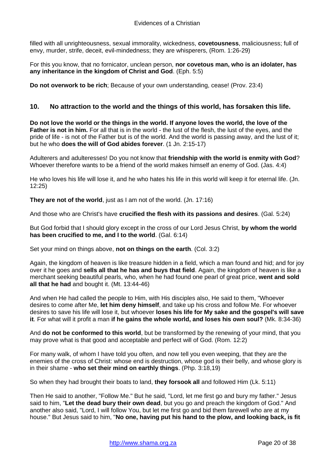filled with all unrighteousness, sexual immorality, wickedness, **covetousness**, maliciousness; full of envy, murder, strife, deceit, evil-mindedness; they are whisperers, (Rom. 1:26-29)

For this you know, that no fornicator, unclean person, **nor covetous man, who is an idolater, has any inheritance in the kingdom of Christ and God**. (Eph. 5:5)

**Do not overwork to be rich**; Because of your own understanding, cease! (Prov. 23:4)

## <span id="page-19-0"></span>**10. No attraction to the world and the things of this world, has forsaken this life.**

**Do not love the world or the things in the world. If anyone loves the world, the love of the Father is not in him.** For all that is in the world - the lust of the flesh, the lust of the eyes, and the pride of life - is not of the Father but is of the world. And the world is passing away, and the lust of it; but he who **does the will of God abides forever**. (1 Jn. 2:15-17)

Adulterers and adulteresses! Do you not know that **friendship with the world is enmity with God**? Whoever therefore wants to be a friend of the world makes himself an enemy of God. (Jas. 4:4)

He who loves his life will lose it, and he who hates his life in this world will keep it for eternal life. (Jn. 12:25)

**They are not of the world**, just as I am not of the world. (Jn. 17:16)

And those who are Christ's have **crucified the flesh with its passions and desires**. (Gal. 5:24)

But God forbid that I should glory except in the cross of our Lord Jesus Christ, **by whom the world has been crucified to me, and I to the world**. (Gal. 6:14)

Set your mind on things above, **not on things on the earth**. (Col. 3:2)

Again, the kingdom of heaven is like treasure hidden in a field, which a man found and hid; and for joy over it he goes and **sells all that he has and buys that field**. Again, the kingdom of heaven is like a merchant seeking beautiful pearls, who, when he had found one pearl of great price, **went and sold all that he had** and bought it. (Mt. 13:44-46)

And when He had called the people to Him, with His disciples also, He said to them, "Whoever desires to come after Me, **let him deny himself**, and take up his cross and follow Me. For whoever desires to save his life will lose it, but whoever **loses his life for My sake and the gospel's will save it**. For what will it profit a man **if he gains the whole world, and loses his own soul?** (Mk. 8:34-36)

And **do not be conformed to this world**, but be transformed by the renewing of your mind, that you may prove what is that good and acceptable and perfect will of God. (Rom. 12:2)

For many walk, of whom I have told you often, and now tell you even weeping, that they are the enemies of the cross of Christ: whose end is destruction, whose god is their belly, and whose glory is in their shame - **who set their mind on earthly things**. (Php. 3:18,19)

So when they had brought their boats to land, **they forsook all** and followed Him (Lk. 5:11)

Then He said to another, "Follow Me." But he said, "Lord, let me first go and bury my father." Jesus said to him, "**Let the dead bury their own dead**, but you go and preach the kingdom of God." And another also said, "Lord, I will follow You, but let me first go and bid them farewell who are at my house." But Jesus said to him, "**No one, having put his hand to the plow, and looking back, is fit**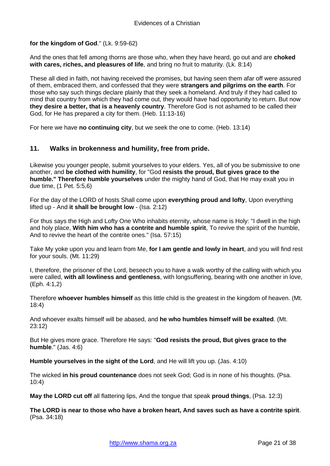**for the kingdom of God**." (Lk. 9:59-62)

And the ones that fell among thorns are those who, when they have heard, go out and are **choked with cares, riches, and pleasures of life**, and bring no fruit to maturity. (Lk. 8:14)

These all died in faith, not having received the promises, but having seen them afar off were assured of them, embraced them, and confessed that they were **strangers and pilgrims on the earth**. For those who say such things declare plainly that they seek a homeland. And truly if they had called to mind that country from which they had come out, they would have had opportunity to return. But now **they desire a better, that is a heavenly country**. Therefore God is not ashamed to be called their God, for He has prepared a city for them. (Heb. 11:13-16)

For here we have **no continuing city**, but we seek the one to come. (Heb. 13:14)

## <span id="page-20-0"></span>**11. Walks in brokenness and humility, free from pride.**

Likewise you younger people, submit yourselves to your elders. Yes, all of you be submissive to one another, and **be clothed with humility**, for "God **resists the proud, But gives grace to the humble." Therefore humble yourselves** under the mighty hand of God, that He may exalt you in due time, (1 Pet. 5:5,6)

For the day of the LORD of hosts Shall come upon **everything proud and lofty**, Upon everything lifted up - And **it shall be brought low** - (Isa. 2:12)

For thus says the High and Lofty One Who inhabits eternity, whose name is Holy: "I dwell in the high and holy place, **With him who has a contrite and humble spirit**, To revive the spirit of the humble, And to revive the heart of the contrite ones." (Isa. 57:15)

Take My yoke upon you and learn from Me, **for I am gentle and lowly in heart**, and you will find rest for your souls. (Mt. 11:29)

I, therefore, the prisoner of the Lord, beseech you to have a walk worthy of the calling with which you were called, **with all lowliness and gentleness**, with longsuffering, bearing with one another in love, (Eph. 4:1,2)

Therefore **whoever humbles himself** as this little child is the greatest in the kingdom of heaven. (Mt. 18:4)

And whoever exalts himself will be abased, and **he who humbles himself will be exalted**. (Mt. 23:12)

But He gives more grace. Therefore He says: "**God resists the proud, But gives grace to the humble**." (Jas. 4:6)

**Humble yourselves in the sight of the Lord**, and He will lift you up. (Jas. 4:10)

The wicked **in his proud countenance** does not seek God; God is in none of his thoughts. (Psa. 10:4)

**May the LORD cut off** all flattering lips, And the tongue that speak **proud things**, (Psa. 12:3)

**The LORD is near to those who have a broken heart, And saves such as have a contrite spirit**. (Psa. 34:18)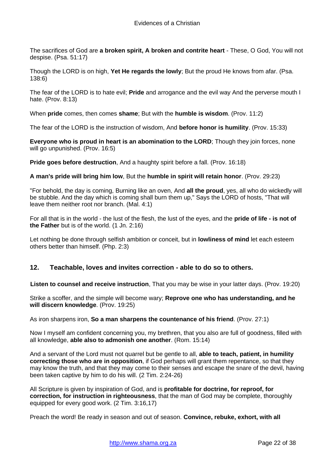The sacrifices of God are **a broken spirit, A broken and contrite heart** - These, O God, You will not despise. (Psa. 51:17)

Though the LORD is on high, **Yet He regards the lowly**; But the proud He knows from afar. (Psa. 138:6)

The fear of the LORD is to hate evil; **Pride** and arrogance and the evil way And the perverse mouth I hate. (Prov. 8:13)

When **pride** comes, then comes **shame**; But with the **humble is wisdom**. (Prov. 11:2)

The fear of the LORD is the instruction of wisdom, And **before honor is humility**. (Prov. 15:33)

**Everyone who is proud in heart is an abomination to the LORD**; Though they join forces, none will go unpunished. (Prov. 16:5)

**Pride goes before destruction**, And a haughty spirit before a fall. (Prov. 16:18)

**A man's pride will bring him low**, But the **humble in spirit will retain honor**. (Prov. 29:23)

"For behold, the day is coming, Burning like an oven, And **all the proud**, yes, all who do wickedly will be stubble. And the day which is coming shall burn them up," Says the LORD of hosts, "That will leave them neither root nor branch. (Mal. 4:1)

For all that is in the world - the lust of the flesh, the lust of the eyes, and the **pride of life - is not of the Father** but is of the world. (1 Jn. 2:16)

Let nothing be done through selfish ambition or conceit, but in **lowliness of mind** let each esteem others better than himself. (Php. 2:3)

#### <span id="page-21-0"></span>**12. Teachable, loves and invites correction - able to do so to others.**

**Listen to counsel and receive instruction**, That you may be wise in your latter days. (Prov. 19:20)

Strike a scoffer, and the simple will become wary; **Reprove one who has understanding, and he will discern knowledge**. (Prov. 19:25)

As iron sharpens iron, **So a man sharpens the countenance of his friend**. (Prov. 27:1)

Now I myself am confident concerning you, my brethren, that you also are full of goodness, filled with all knowledge, **able also to admonish one another**. (Rom. 15:14)

And a servant of the Lord must not quarrel but be gentle to all, **able to teach, patient, in humility correcting those who are in opposition**, if God perhaps will grant them repentance, so that they may know the truth, and that they may come to their senses and escape the snare of the devil, having been taken captive by him to do his will. (2 Tim. 2:24-26)

All Scripture is given by inspiration of God, and is **profitable for doctrine, for reproof, for correction, for instruction in righteousness**, that the man of God may be complete, thoroughly equipped for every good work. (2 Tim. 3:16,17)

Preach the word! Be ready in season and out of season. **Convince, rebuke, exhort, with all**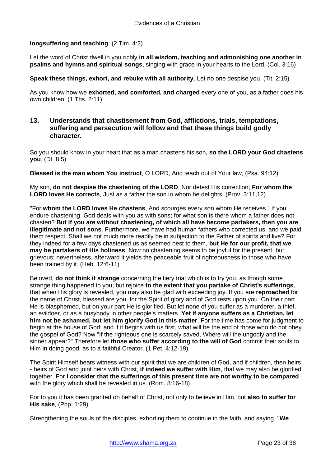#### **longsuffering and teaching**. (2 Tim. 4:2)

Let the word of Christ dwell in you richly **in all wisdom, teaching and admonishing one another in psalms and hymns and spiritual songs**, singing with grace in your hearts to the Lord. (Col. 3:16)

#### **Speak these things, exhort, and rebuke with all authority**. Let no one despise you. (Tit. 2:15)

As you know how we **exhorted, and comforted, and charged** every one of you, as a father does his own children, (1 Ths. 2:11)

## <span id="page-22-0"></span>**13. Understands that chastisement from God, afflictions, trials, temptations, suffering and persecution will follow and that these things build godly character.**

So you should know in your heart that as a man chastens his son, **so the LORD your God chastens you**. (Dt. 8:5)

**Blessed is the man whom You instruct**, O LORD, And teach out of Your law, (Psa. 94:12)

My son, **do not despise the chastening of the LORD**, Nor detest His correction; **For whom the LORD loves He corrects**, Just as a father the son in whom he delights. (Prov. 3:11,12)

"For **whom the LORD loves He chastens**, And scourges every son whom He receives." If you endure chastening, God deals with you as with sons; for what son is there whom a father does not chasten? **But if you are without chastening, of which all have become partakers, then you are illegitimate and not sons**. Furthermore, we have had human fathers who corrected us, and we paid them respect. Shall we not much more readily be in subjection to the Father of spirits and live? For they indeed for a few days chastened us as seemed best to them, **but He for our profit, that we may be partakers of His holiness**. Now no chastening seems to be joyful for the present, but grievous; nevertheless, afterward it yields the peaceable fruit of righteousness to those who have been trained by it. (Heb. 12:6-11)

Beloved, **do not think it strange** concerning the fiery trial which is to try you, as though some strange thing happened to you; but rejoice **to the extent that you partake of Christ's sufferings**, that when His glory is revealed, you may also be glad with exceeding joy. If you are **reproached** for the name of Christ, blessed are you, for the Spirit of glory and of God rests upon you. On their part He is blasphemed, but on your part He is glorified. But let none of you suffer as a murderer, a thief, an evildoer, or as a busybody in other people's matters. **Yet if anyone suffers as a Christian, let him not be ashamed, but let him glorify God in this matter**. For the time has come for judgment to begin at the house of God; and if it begins with us first, what will be the end of those who do not obey the gospel of God? Now "If the righteous one is scarcely saved, Where will the ungodly and the sinner appear?" Therefore let **those who suffer according to the will of God** commit their souls to Him in doing good, as to a faithful Creator. (1 Pet. 4:12-19)

The Spirit Himself bears witness with our spirit that we are children of God, and if children, then heirs - heirs of God and joint heirs with Christ, **if indeed we suffer with Him**, that we may also be glorified together. For **I consider that the sufferings of this present time are not worthy to be compared** with the glory which shall be revealed in us. (Rom. 8:16-18)

For to you it has been granted on behalf of Christ, not only to believe in Him, but **also to suffer for His sake**, (Php. 1:29)

Strengthening the souls of the disciples, exhorting them to continue in the faith, and saying, "**We**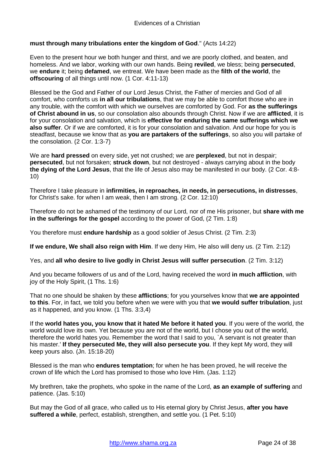#### **must through many tribulations enter the kingdom of God**." (Acts 14:22)

Even to the present hour we both hunger and thirst, and we are poorly clothed, and beaten, and homeless. And we labor, working with our own hands. Being **reviled**, we bless; being **persecuted**, we **endure** it; being **defamed**, we entreat. We have been made as the **filth of the world**, the **offscouring** of all things until now. (1 Cor. 4:11-13)

Blessed be the God and Father of our Lord Jesus Christ, the Father of mercies and God of all comfort, who comforts us **in all our tribulations**, that we may be able to comfort those who are in any trouble, with the comfort with which we ourselves are comforted by God. For **as the sufferings of Christ abound in us**, so our consolation also abounds through Christ. Now if we are **afflicted**, it is for your consolation and salvation, which is **effective for enduring the same sufferings which we also suffer**. Or if we are comforted, it is for your consolation and salvation. And our hope for you is steadfast, because we know that as **you are partakers of the sufferings**, so also you will partake of the consolation. (2 Cor. 1:3-7)

We are **hard pressed** on every side, yet not crushed; we are **perplexed**, but not in despair; **persecuted**, but not forsaken; **struck down**, but not destroyed - always carrying about in the body **the dying of the Lord Jesus**, that the life of Jesus also may be manifested in our body. (2 Cor. 4:8- 10)

Therefore I take pleasure in **infirmities, in reproaches, in needs, in persecutions, in distresses**, for Christ's sake. for when I am weak, then I am strong. (2 Cor. 12:10)

Therefore do not be ashamed of the testimony of our Lord, nor of me His prisoner, but **share with me in the sufferings for the gospel** according to the power of God, (2 Tim. 1:8)

You therefore must **endure hardship** as a good soldier of Jesus Christ. (2 Tim. 2:3)

**If we endure, We shall also reign with Him**. If we deny Him, He also will deny us. (2 Tim. 2:12)

Yes, and **all who desire to live godly in Christ Jesus will suffer persecution**. (2 Tim. 3:12)

And you became followers of us and of the Lord, having received the word **in much affliction**, with joy of the Holy Spirit, (1 Ths. 1:6)

That no one should be shaken by these **afflictions**; for you yourselves know that **we are appointed to this**. For, in fact, we told you before when we were with you that **we would suffer tribulation**, just as it happened, and you know. (1 Ths. 3:3,4)

If the **world hates you, you know that it hated Me before it hated you**. If you were of the world, the world would love its own. Yet because you are not of the world, but I chose you out of the world, therefore the world hates you. Remember the word that I said to you, `A servant is not greater than his master.' **If they persecuted Me, they will also persecute you**. If they kept My word, they will keep yours also. (Jn. 15:18-20)

Blessed is the man who **endures temptation**; for when he has been proved, he will receive the crown of life which the Lord has promised to those who love Him. (Jas. 1:12)

My brethren, take the prophets, who spoke in the name of the Lord, **as an example of suffering** and patience. (Jas. 5:10)

But may the God of all grace, who called us to His eternal glory by Christ Jesus, **after you have suffered a while**, perfect, establish, strengthen, and settle you. (1 Pet. 5:10)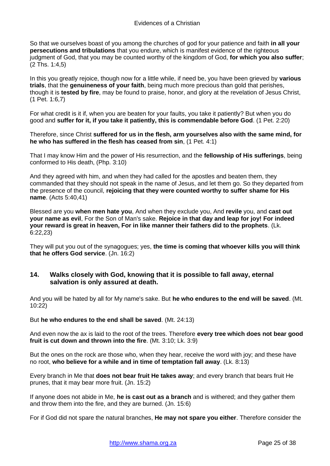So that we ourselves boast of you among the churches of god for your patience and faith **in all your persecutions and tribulations** that you endure, which is manifest evidence of the righteous judgment of God, that you may be counted worthy of the kingdom of God, **for which you also suffer**; (2 Ths. 1:4,5)

In this you greatly rejoice, though now for a little while, if need be, you have been grieved by **various trials**, that the **genuineness of your faith**, being much more precious than gold that perishes, though it is **tested by fire**, may be found to praise, honor, and glory at the revelation of Jesus Christ, (1 Pet. 1:6,7)

For what credit is it if, when you are beaten for your faults, you take it patiently? But when you do good and **suffer for it, if you take it patiently, this is commendable before God**. (1 Pet. 2:20)

Therefore, since Christ **suffered for us in the flesh, arm yourselves also with the same mind, for he who has suffered in the flesh has ceased from sin**, (1 Pet. 4:1)

That I may know Him and the power of His resurrection, and the **fellowship of His sufferings**, being conformed to His death, (Php. 3:10)

And they agreed with him, and when they had called for the apostles and beaten them, they commanded that they should not speak in the name of Jesus, and let them go. So they departed from the presence of the council, **rejoicing that they were counted worthy to suffer shame for His name**. (Acts 5:40,41)

Blessed are you **when men hate you**, And when they exclude you, And **revile** you, and **cast out your name as evil**, For the Son of Man's sake. **Rejoice in that day and leap for joy! For indeed your reward is great in heaven, For in like manner their fathers did to the prophets**. (Lk. 6:22,23)

They will put you out of the synagogues; yes, **the time is coming that whoever kills you will think that he offers God service**. (Jn. 16:2)

## <span id="page-24-0"></span>**14. Walks closely with God, knowing that it is possible to fall away, eternal salvation is only assured at death.**

And you will be hated by all for My name's sake. But **he who endures to the end will be saved**. (Mt. 10:22)

#### But **he who endures to the end shall be saved**. (Mt. 24:13)

And even now the ax is laid to the root of the trees. Therefore **every tree which does not bear good fruit is cut down and thrown into the fire**. (Mt. 3:10; Lk. 3:9)

But the ones on the rock are those who, when they hear, receive the word with joy; and these have no root, **who believe for a while and in time of temptation fall away**. (Lk. 8:13)

Every branch in Me that **does not bear fruit He takes away**; and every branch that bears fruit He prunes, that it may bear more fruit. (Jn. 15:2)

If anyone does not abide in Me, **he is cast out as a branch** and is withered; and they gather them and throw them into the fire, and they are burned. (Jn. 15:6)

For if God did not spare the natural branches, **He may not spare you either**. Therefore consider the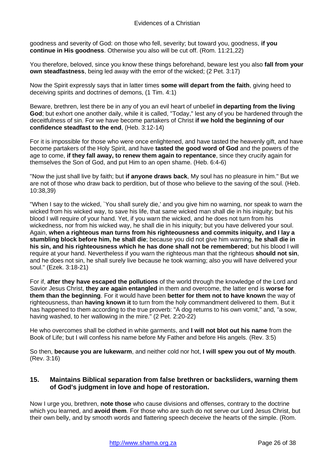goodness and severity of God: on those who fell, severity; but toward you, goodness, **if you continue in His goodness**. Otherwise you also will be cut off. (Rom. 11:21,22)

You therefore, beloved, since you know these things beforehand, beware lest you also **fall from your own steadfastness**, being led away with the error of the wicked; (2 Pet. 3:17)

Now the Spirit expressly says that in latter times **some will depart from the faith**, giving heed to deceiving spirits and doctrines of demons, (1 Tim. 4:1)

Beware, brethren, lest there be in any of you an evil heart of unbelief **in departing from the living God**; but exhort one another daily, while it is called, "Today," lest any of you be hardened through the deceitfulness of sin. For we have become partakers of Christ **if we hold the beginning of our confidence steadfast to the end**, (Heb. 3:12-14)

For it is impossible for those who were once enlightened, and have tasted the heavenly gift, and have become partakers of the Holy Spirit, and have **tasted the good word of God** and the powers of the age to come, **if they fall away, to renew them again to repentance**, since they crucify again for themselves the Son of God, and put Him to an open shame. (Heb. 6:4-6)

"Now the just shall live by faith; but **if anyone draws back**, My soul has no pleasure in him." But we are not of those who draw back to perdition, but of those who believe to the saving of the soul. (Heb. 10:38,39)

"When I say to the wicked, `You shall surely die,' and you give him no warning, nor speak to warn the wicked from his wicked way, to save his life, that same wicked man shall die in his iniquity; but his blood I will require of your hand. Yet, if you warn the wicked, and he does not turn from his wickedness, nor from his wicked way, he shall die in his iniquity; but you have delivered your soul. Again, **when a righteous man turns from his righteousness and commits iniquity, and I lay a stumbling block before him, he shall die**; because you did not give him warning, **he shall die in his sin, and his righteousness which he has done shall not be remembered**; but his blood I will require at your hand. Nevertheless if you warn the righteous man that the righteous **should not sin**, and he does not sin, he shall surely live because he took warning; also you will have delivered your soul." (Ezek. 3:18-21)

For if, **after they have escaped the pollutions** of the world through the knowledge of the Lord and Savior Jesus Christ, **they are again entangled** in them and overcome, the latter end is **worse for them than the beginning**. For it would have been **better for them not to have known** the way of righteousness, than **having known it** to turn from the holy commandment delivered to them. But it has happened to them according to the true proverb: "A dog returns to his own vomit," and, "a sow, having washed, to her wallowing in the mire." (2 Pet. 2:20-22)

He who overcomes shall be clothed in white garments, and **I will not blot out his name** from the Book of Life; but I will confess his name before My Father and before His angels. (Rev. 3:5)

So then, **because you are lukewarm**, and neither cold nor hot, **I will spew you out of My mouth**. (Rev. 3:16)

## <span id="page-25-0"></span>**15. Maintains Biblical separation from false brethren or backsliders, warning them of God's judgment in love and hope of restoration.**

Now I urge you, brethren, **note those** who cause divisions and offenses, contrary to the doctrine which you learned, and **avoid them**. For those who are such do not serve our Lord Jesus Christ, but their own belly, and by smooth words and flattering speech deceive the hearts of the simple. (Rom.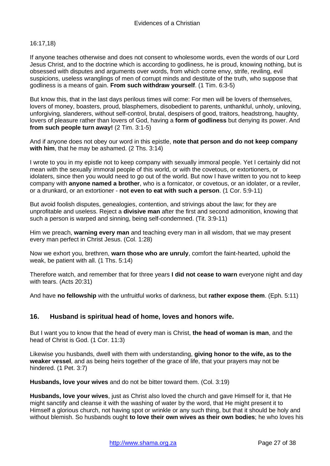#### 16:17,18)

If anyone teaches otherwise and does not consent to wholesome words, even the words of our Lord Jesus Christ, and to the doctrine which is according to godliness, he is proud, knowing nothing, but is obsessed with disputes and arguments over words, from which come envy, strife, reviling, evil suspicions, useless wranglings of men of corrupt minds and destitute of the truth, who suppose that godliness is a means of gain. **From such withdraw yourself**. (1 Tim. 6:3-5)

But know this, that in the last days perilous times will come: For men will be lovers of themselves, lovers of money, boasters, proud, blasphemers, disobedient to parents, unthankful, unholy, unloving, unforgiving, slanderers, without self-control, brutal, despisers of good, traitors, headstrong, haughty, lovers of pleasure rather than lovers of God, having a **form of godliness** but denying its power. And **from such people turn away!** (2 Tim. 3:1-5)

And if anyone does not obey our word in this epistle, **note that person and do not keep company with him**, that he may be ashamed. (2 Ths. 3:14)

I wrote to you in my epistle not to keep company with sexually immoral people. Yet I certainly did not mean with the sexually immoral people of this world, or with the covetous, or extortioners, or idolaters, since then you would need to go out of the world. But now I have written to you not to keep company with **anyone named a brother**, who is a fornicator, or covetous, or an idolater, or a reviler, or a drunkard, or an extortioner - **not even to eat with such a person**. (1 Cor. 5:9-11)

But avoid foolish disputes, genealogies, contention, and strivings about the law; for they are unprofitable and useless. Reject a **divisive man** after the first and second admonition, knowing that such a person is warped and sinning, being self-condemned. (Tit. 3:9-11)

Him we preach, **warning every man** and teaching every man in all wisdom, that we may present every man perfect in Christ Jesus. (Col. 1:28)

Now we exhort you, brethren, **warn those who are unruly**, comfort the faint-hearted, uphold the weak, be patient with all. (1 Ths. 5:14)

Therefore watch, and remember that for three years **I did not cease to warn** everyone night and day with tears. (Acts 20:31)

And have **no fellowship** with the unfruitful works of darkness, but **rather expose them**. (Eph. 5:11)

#### <span id="page-26-0"></span>**16. Husband is spiritual head of home, loves and honors wife.**

But I want you to know that the head of every man is Christ, **the head of woman is man**, and the head of Christ is God. (1 Cor. 11:3)

Likewise you husbands, dwell with them with understanding, **giving honor to the wife, as to the weaker vessel**, and as being heirs together of the grace of life, that your prayers may not be hindered. (1 Pet. 3:7)

**Husbands, love your wives** and do not be bitter toward them. (Col. 3:19)

**Husbands, love your wives**, just as Christ also loved the church and gave Himself for it, that He might sanctify and cleanse it with the washing of water by the word, that He might present it to Himself a glorious church, not having spot or wrinkle or any such thing, but that it should be holy and without blemish. So husbands ought **to love their own wives as their own bodies**; he who loves his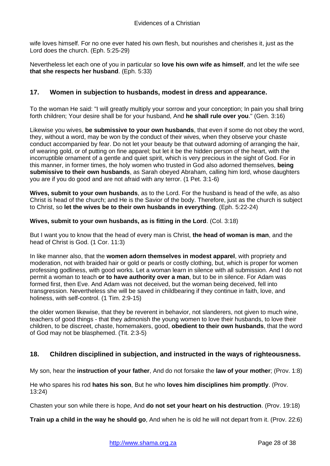wife loves himself. For no one ever hated his own flesh, but nourishes and cherishes it, just as the Lord does the church. (Eph. 5:25-29)

Nevertheless let each one of you in particular so **love his own wife as himself**, and let the wife see **that she respects her husband**. (Eph. 5:33)

## <span id="page-27-0"></span>**17. Women in subjection to husbands, modest in dress and appearance.**

To the woman He said: "I will greatly multiply your sorrow and your conception; In pain you shall bring forth children; Your desire shall be for your husband, And **he shall rule over you**." (Gen. 3:16)

Likewise you wives, **be submissive to your own husbands**, that even if some do not obey the word, they, without a word, may be won by the conduct of their wives, when they observe your chaste conduct accompanied by fear. Do not let your beauty be that outward adorning of arranging the hair, of wearing gold, or of putting on fine apparel; but let it be the hidden person of the heart, with the incorruptible ornament of a gentle and quiet spirit, which is very precious in the sight of God. For in this manner, in former times, the holy women who trusted in God also adorned themselves, **being submissive to their own husbands**, as Sarah obeyed Abraham, calling him lord, whose daughters you are if you do good and are not afraid with any terror. (1 Pet. 3:1-6)

**Wives, submit to your own husbands**, as to the Lord. For the husband is head of the wife, as also Christ is head of the church; and He is the Savior of the body. Therefore, just as the church is subject to Christ, so **let the wives be to their own husbands in everything**. (Eph. 5:22-24)

#### **Wives, submit to your own husbands, as is fitting in the Lord**. (Col. 3:18)

But I want you to know that the head of every man is Christ, **the head of woman is man**, and the head of Christ is God. (1 Cor. 11:3)

In like manner also, that the **women adorn themselves in modest apparel**, with propriety and moderation, not with braided hair or gold or pearls or costly clothing, but, which is proper for women professing godliness, with good works. Let a woman learn in silence with all submission. And I do not permit a woman to teach **or to have authority over a man**, but to be in silence. For Adam was formed first, then Eve. And Adam was not deceived, but the woman being deceived, fell into transgression. Nevertheless she will be saved in childbearing if they continue in faith, love, and holiness, with self-control. (1 Tim. 2:9-15)

the older women likewise, that they be reverent in behavior, not slanderers, not given to much wine, teachers of good things - that they admonish the young women to love their husbands, to love their children, to be discreet, chaste, homemakers, good, **obedient to their own husbands**, that the word of God may not be blasphemed. (Tit. 2:3-5)

## <span id="page-27-1"></span>**18. Children disciplined in subjection, and instructed in the ways of righteousness.**

My son, hear the **instruction of your father**, And do not forsake the **law of your mother**; (Prov. 1:8)

He who spares his rod **hates his son**, But he who **loves him disciplines him promptly**. (Prov. 13:24)

Chasten your son while there is hope, And **do not set your heart on his destruction**. (Prov. 19:18)

**Train up a child in the way he should go**, And when he is old he will not depart from it. (Prov. 22:6)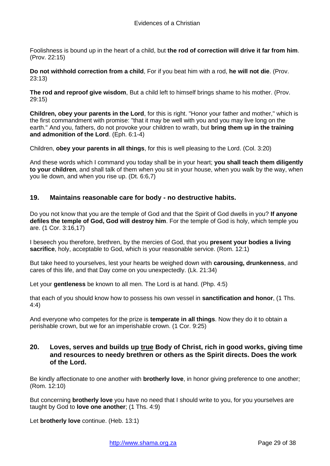Foolishness is bound up in the heart of a child, but **the rod of correction will drive it far from him**. (Prov. 22:15)

**Do not withhold correction from a child**, For if you beat him with a rod, **he will not die**. (Prov. 23:13)

**The rod and reproof give wisdom**, But a child left to himself brings shame to his mother. (Prov. 29:15)

**Children, obey your parents in the Lord**, for this is right. "Honor your father and mother," which is the first commandment with promise: "that it may be well with you and you may live long on the earth." And you, fathers, do not provoke your children to wrath, but **bring them up in the training and admonition of the Lord**. (Eph. 6:1-4)

Children, **obey your parents in all things**, for this is well pleasing to the Lord. (Col. 3:20)

And these words which I command you today shall be in your heart; **you shall teach them diligently to your children**, and shall talk of them when you sit in your house, when you walk by the way, when you lie down, and when you rise up. (Dt. 6:6,7)

## <span id="page-28-0"></span>**19. Maintains reasonable care for body - no destructive habits.**

Do you not know that you are the temple of God and that the Spirit of God dwells in you? **If anyone defiles the temple of God, God will destroy him**. For the temple of God is holy, which temple you are. (1 Cor. 3:16,17)

I beseech you therefore, brethren, by the mercies of God, that you **present your bodies a living sacrifice**, holy, acceptable to God, which is your reasonable service. (Rom. 12:1)

But take heed to yourselves, lest your hearts be weighed down with **carousing, drunkenness**, and cares of this life, and that Day come on you unexpectedly. (Lk. 21:34)

Let your **gentleness** be known to all men. The Lord is at hand. (Php. 4:5)

that each of you should know how to possess his own vessel in **sanctification and honor**, (1 Ths. 4:4)

And everyone who competes for the prize is **temperate in all things**. Now they do it to obtain a perishable crown, but we for an imperishable crown. (1 Cor. 9:25)

## <span id="page-28-1"></span>**20. Loves, serves and builds up true Body of Christ, rich in good works, giving time and resources to needy brethren or others as the Spirit directs. Does the work of the Lord.**

Be kindly affectionate to one another with **brotherly love**, in honor giving preference to one another; (Rom. 12:10)

But concerning **brotherly love** you have no need that I should write to you, for you yourselves are taught by God to **love one another**; (1 Ths. 4:9)

Let **brotherly love** continue. (Heb. 13:1)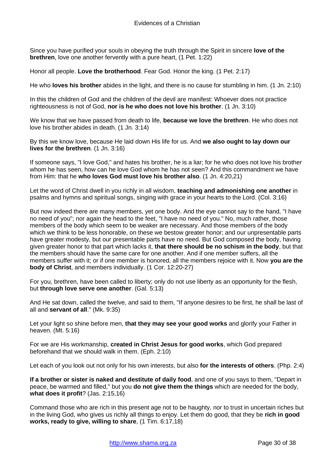Since you have purified your souls in obeying the truth through the Spirit in sincere **love of the brethren**, love one another fervently with a pure heart, (1 Pet. 1:22)

Honor all people. **Love the brotherhood**. Fear God. Honor the king. (1 Pet. 2:17)

He who **loves his brother** abides in the light, and there is no cause for stumbling in him. (1 Jn. 2:10)

In this the children of God and the children of the devil are manifest: Whoever does not practice righteousness is not of God, **nor is he who does not love his brother**. (1 Jn. 3:10)

We know that we have passed from death to life, **because we love the brethren**. He who does not love his brother abides in death. (1 Jn. 3:14)

By this we know love, because He laid down His life for us. And **we also ought to lay down our lives for the brethren**. (1 Jn. 3:16)

If someone says, "I love God," and hates his brother, he is a liar; for he who does not love his brother whom he has seen, how can he love God whom he has not seen? And this commandment we have from Him: that he **who loves God must love his brother also**. (1 Jn. 4:20,21)

Let the word of Christ dwell in you richly in all wisdom, **teaching and admonishing one another** in psalms and hymns and spiritual songs, singing with grace in your hearts to the Lord. (Col. 3:16)

But now indeed there are many members, yet one body. And the eye cannot say to the hand, "I have no need of you"; nor again the head to the feet, "I have no need of you." No, much rather, those members of the body which seem to be weaker are necessary. And those members of the body which we think to be less honorable, on these we bestow greater honor; and our unpresentable parts have greater modesty, but our presentable parts have no need. But God composed the body, having given greater honor to that part which lacks it, **that there should be no schism in the body**, but that the members should have the same care for one another. And if one member suffers, all the members suffer with it; or if one member is honored, all the members rejoice with it. Now **you are the body of Christ**, and members individually. (1 Cor. 12:20-27)

For you, brethren, have been called to liberty; only do not use liberty as an opportunity for the flesh, but **through love serve one another**. (Gal. 5:13)

And He sat down, called the twelve, and said to them, "If anyone desires to be first, he shall be last of all and **servant of all**." (Mk. 9:35)

Let your light so shine before men, **that they may see your good works** and glorify your Father in heaven. (Mt. 5:16)

For we are His workmanship, **created in Christ Jesus for good works**, which God prepared beforehand that we should walk in them. (Eph. 2:10)

Let each of you look out not only for his own interests, but also **for the interests of others**. (Php. 2:4)

**If a brother or sister is naked and destitute of daily food**, and one of you says to them, "Depart in peace, be warmed and filled," but you **do not give them the things** which are needed for the body, **what does it profit**? (Jas. 2:15,16)

Command those who are rich in this present age not to be haughty, nor to trust in uncertain riches but in the living God, who gives us richly all things to enjoy. Let them do good, that they be **rich in good works, ready to give, willing to share**, (1 Tim. 6:17,18)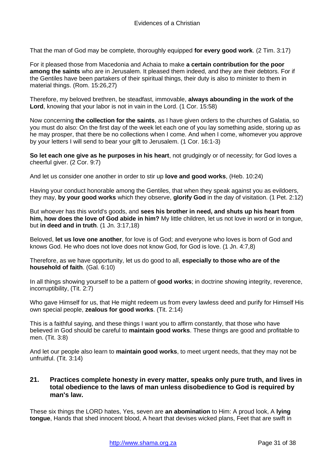That the man of God may be complete, thoroughly equipped **for every good work**. (2 Tim. 3:17)

For it pleased those from Macedonia and Achaia to make **a certain contribution for the poor among the saints** who are in Jerusalem. It pleased them indeed, and they are their debtors. For if the Gentiles have been partakers of their spiritual things, their duty is also to minister to them in material things. (Rom. 15:26,27)

Therefore, my beloved brethren, be steadfast, immovable, **always abounding in the work of the Lord**, knowing that your labor is not in vain in the Lord. (1 Cor. 15:58)

Now concerning **the collection for the saints**, as I have given orders to the churches of Galatia, so you must do also: On the first day of the week let each one of you lay something aside, storing up as he may prosper, that there be no collections when I come. And when I come, whomever you approve by your letters I will send to bear your gift to Jerusalem. (1 Cor. 16:1-3)

**So let each one give as he purposes in his heart**, not grudgingly or of necessity; for God loves a cheerful giver. (2 Cor. 9:7)

And let us consider one another in order to stir up **love and good works**, (Heb. 10:24)

Having your conduct honorable among the Gentiles, that when they speak against you as evildoers, they may, **by your good works** which they observe, **glorify God** in the day of visitation. (1 Pet. 2:12)

But whoever has this world's goods, and **sees his brother in need, and shuts up his heart from him, how does the love of God abide in him?** My little children, let us not love in word or in tongue, but **in deed and in truth**. (1 Jn. 3:17,18)

Beloved, **let us love one another**, for love is of God; and everyone who loves is born of God and knows God. He who does not love does not know God, for God is love. (1 Jn. 4:7,8)

Therefore, as we have opportunity, let us do good to all, **especially to those who are of the household of faith**. (Gal. 6:10)

In all things showing yourself to be a pattern of **good works**; in doctrine showing integrity, reverence, incorruptibility, (Tit. 2:7)

Who gave Himself for us, that He might redeem us from every lawless deed and purify for Himself His own special people, **zealous for good works**. (Tit. 2:14)

This is a faithful saying, and these things I want you to affirm constantly, that those who have believed in God should be careful to **maintain good works**. These things are good and profitable to men. (Tit. 3:8)

And let our people also learn to **maintain good works**, to meet urgent needs, that they may not be unfruitful. (Tit. 3:14)

## <span id="page-30-0"></span>**21. Practices complete honesty in every matter, speaks only pure truth, and lives in total obedience to the laws of man unless disobedience to God is required by man's law.**

These six things the LORD hates, Yes, seven are **an abomination** to Him: A proud look, A **lying tongue**, Hands that shed innocent blood, A heart that devises wicked plans, Feet that are swift in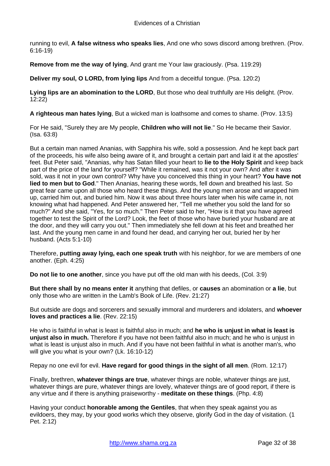running to evil, **A false witness who speaks lies**, And one who sows discord among brethren. (Prov. 6:16-19)

**Remove from me the way of lying**, And grant me Your law graciously. (Psa. 119:29)

**Deliver my soul, O LORD, from lying lips** And from a deceitful tongue. (Psa. 120:2)

**Lying lips are an abomination to the LORD**, But those who deal truthfully are His delight. (Prov. 12:22)

**A righteous man hates lying**, But a wicked man is loathsome and comes to shame. (Prov. 13:5)

For He said, "Surely they are My people, **Children who will not lie**." So He became their Savior. (Isa. 63:8)

But a certain man named Ananias, with Sapphira his wife, sold a possession. And he kept back part of the proceeds, his wife also being aware of it, and brought a certain part and laid it at the apostles' feet. But Peter said, "Ananias, why has Satan filled your heart to **lie to the Holy Spirit** and keep back part of the price of the land for yourself? "While it remained, was it not your own? And after it was sold, was it not in your own control? Why have you conceived this thing in your heart? **You have not lied to men but to God**." Then Ananias, hearing these words, fell down and breathed his last. So great fear came upon all those who heard these things. And the young men arose and wrapped him up, carried him out, and buried him. Now it was about three hours later when his wife came in, not knowing what had happened. And Peter answered her, "Tell me whether you sold the land for so much?" And she said, "Yes, for so much." Then Peter said to her, "How is it that you have agreed together to test the Spirit of the Lord? Look, the feet of those who have buried your husband are at the door, and they will carry you out." Then immediately she fell down at his feet and breathed her last. And the young men came in and found her dead, and carrying her out, buried her by her husband. (Acts 5:1-10)

Therefore, **putting away lying, each one speak truth** with his neighbor, for we are members of one another. (Eph. 4:25)

**Do not lie to one another**, since you have put off the old man with his deeds, (Col. 3:9)

**But there shall by no means enter it** anything that defiles, or **causes** an abomination or **a lie**, but only those who are written in the Lamb's Book of Life. (Rev. 21:27)

But outside are dogs and sorcerers and sexually immoral and murderers and idolaters, and **whoever loves and practices a lie**. (Rev. 22:15)

He who is faithful in what is least is faithful also in much; and **he who is unjust in what is least is unjust also in much.** Therefore if you have not been faithful also in much; and he who is unjust in what is least is unjust also in much. And if you have not been faithful in what is another man's, who will give you what is your own? (Lk. 16:10-12)

Repay no one evil for evil. **Have regard for good things in the sight of all men**. (Rom. 12:17)

Finally, brethren, **whatever things are true**, whatever things are noble, whatever things are just, whatever things are pure, whatever things are lovely, whatever things are of good report, if there is any virtue and if there is anything praiseworthy - **meditate on these things**. (Php. 4:8)

Having your conduct **honorable among the Gentiles**, that when they speak against you as evildoers, they may, by your good works which they observe, glorify God in the day of visitation. (1 Pet. 2:12)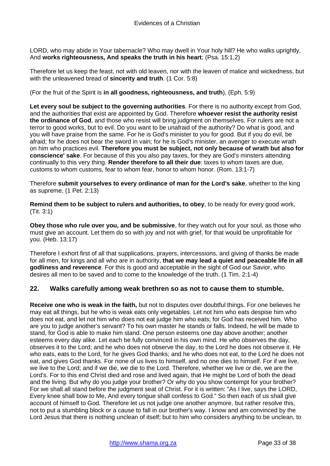LORD, who may abide in Your tabernacle? Who may dwell in Your holy hill? He who walks uprightly, And **works righteousness, And speaks the truth in his heart**; (Psa. 15:1,2)

Therefore let us keep the feast, not with old leaven, nor with the leaven of malice and wickedness, but with the unleavened bread of **sincerity and truth**. (1 Cor. 5:8)

(For the fruit of the Spirit is **in all goodness, righteousness, and truth**), (Eph. 5:9)

**Let every soul be subject to the governing authorities**. For there is no authority except from God, and the authorities that exist are appointed by God. Therefore **whoever resist the authority resist the ordinance of God**, and those who resist will bring judgment on themselves. For rulers are not a terror to good works, but to evil. Do you want to be unafraid of the authority? Do what is good, and you will have praise from the same. For he is God's minister to you for good. But if you do evil, be afraid; for he does not bear the sword in vain; for he is God's minister, an avenger to execute wrath on him who practices evil. **Therefore you must be subject, not only because of wrath but also for conscience' sake**. For because of this you also pay taxes, for they are God's minsters attending continually to this very thing. **Render therefore to all their due**: taxes to whom taxes are due, customs to whom customs, fear to whom fear, honor to whom honor. (Rom. 13:1-7)

Therefore **submit yourselves to every ordinance of man for the Lord's sake**, whether to the king as supreme, (1 Pet. 2:13)

**Remind them to be subject to rulers and authorities, to obey**, to be ready for every good work, (Tit. 3:1)

**Obey those who rule over you, and be submissive**, for they watch out for your soul, as those who must give an account. Let them do so with joy and not with grief, for that would be unprofitable for you. (Heb. 13:17)

Therefore I exhort first of all that supplications, prayers, intercessions, and giving of thanks be made for all men, for kings and all who are in authority, **that we may lead a quiet and peaceable life in all godliness and reverence**. For this is good and acceptable in the sight of God our Savior, who desires all men to be saved and to come to the knowledge of the truth. (1 Tim. 2:1-4)

## <span id="page-32-0"></span>**22. Walks carefully among weak brethren so as not to cause them to stumble.**

**Receive one who is weak in the faith,** but not to disputes over doubtful things. For one believes he may eat all things, but he who is weak eats only vegetables. Let not him who eats despise him who does not eat, and let not him who does not eat judge him who eats; for God has received him. Who are you to judge another's servant? To his own master he stands or falls. Indeed, he will be made to stand, for God is able to make him stand. One person esteems one day above another; another esteems every day alike. Let each be fully convinced in his own mind. He who observes the day, observes it to the Lord; and he who does not observe the day, to the Lord he does not observe it. He who eats, eats to the Lord, for he gives God thanks; and he who does not eat, to the Lord he does not eat, and gives God thanks. For none of us lives to himself, and no one dies to himself. For if we live, we live to the Lord; and if we die, we die to the Lord. Therefore, whether we live or die, we are the Lord's. For to this end Christ died and rose and lived again, that He might be Lord of both the dead and the living. But why do you judge your brother? Or why do you show contempt for your brother? For we shall all stand before the judgment seat of Christ. For it is written: "As I live, says the LORD, Every knee shall bow to Me, And every tongue shall confess to God." So then each of us shall give account of himself to God. Therefore let us not judge one another anymore, but rather resolve this, not to put a stumbling block or a cause to fall in our brother's way. I know and am convinced by the Lord Jesus that there is nothing unclean of itself; but to him who considers anything to be unclean, to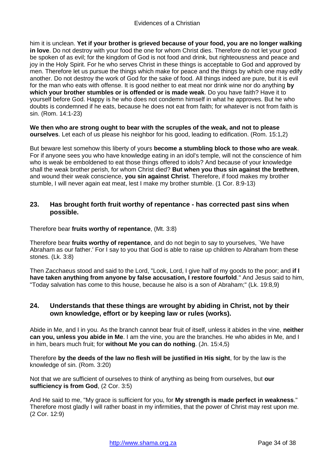him it is unclean. **Yet if your brother is grieved because of your food, you are no longer walking in love**. Do not destroy with your food the one for whom Christ dies. Therefore do not let your good be spoken of as evil; for the kingdom of God is not food and drink, but righteousness and peace and joy in the Holy Spirit. For he who serves Christ in these things is acceptable to God and approved by men. Therefore let us pursue the things which make for peace and the things by which one may edify another. Do not destroy the work of God for the sake of food. All things indeed are pure, but it is evil for the man who eats with offense. It is good neither to eat meat nor drink wine nor do anything **by which your brother stumbles or is offended or is made weak**. Do you have faith? Have it to yourself before God. Happy is he who does not condemn himself in what he approves. But he who doubts is condemned if he eats, because he does not eat from faith; for whatever is not from faith is sin. (Rom. 14:1-23)

**We then who are strong ought to bear with the scruples of the weak, and not to please ourselves**. Let each of us please his neighbor for his good, leading to edification. (Rom. 15:1,2)

But beware lest somehow this liberty of yours **become a stumbling block to those who are weak**. For if anyone sees you who have knowledge eating in an idol's temple, will not the conscience of him who is weak be emboldened to eat those things offered to idols? And because of your knowledge shall the weak brother perish, for whom Christ died? **But when you thus sin against the brethren**, and wound their weak conscience, **you sin against Christ**. Therefore, if food makes my brother stumble, I will never again eat meat, lest I make my brother stumble. (1 Cor. 8:9-13)

## <span id="page-33-0"></span>**23. Has brought forth fruit worthy of repentance - has corrected past sins when possible.**

Therefore bear **fruits worthy of repentance**, (Mt. 3:8)

Therefore bear **fruits worthy of repentance**, and do not begin to say to yourselves, `We have Abraham as our father.' For I say to you that God is able to raise up children to Abraham from these stones. (Lk. 3:8)

Then Zacchaeus stood and said to the Lord, "Look, Lord, I give half of my goods to the poor; and **if I have taken anything from anyone by false accusation, I restore fourfold**." And Jesus said to him, "Today salvation has come to this house, because he also is a son of Abraham;" (Lk. 19:8,9)

## <span id="page-33-1"></span>**24. Understands that these things are wrought by abiding in Christ, not by their own knowledge, effort or by keeping law or rules (works).**

Abide in Me, and I in you. As the branch cannot bear fruit of itself, unless it abides in the vine, **neither can you, unless you abide in Me**. I am the vine, you are the branches. He who abides in Me, and I in him, bears much fruit; for **without Me you can do nothing**. (Jn. 15:4,5)

Therefore **by the deeds of the law no flesh will be justified in His sight**, for by the law is the knowledge of sin. (Rom. 3:20)

Not that we are sufficient of ourselves to think of anything as being from ourselves, but **our sufficiency is from God**, (2 Cor. 3:5)

And He said to me, "My grace is sufficient for you, for **My strength is made perfect in weakness**." Therefore most gladly I will rather boast in my infirmities, that the power of Christ may rest upon me. (2 Cor. 12:9)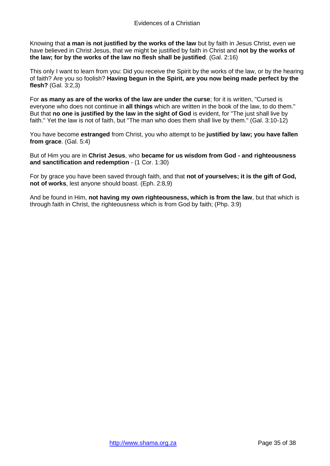Knowing that **a man is not justified by the works of the law** but by faith in Jesus Christ, even we have believed in Christ Jesus, that we might be justified by faith in Christ and **not by the works of the law; for by the works of the law no flesh shall be justified**. (Gal. 2:16)

This only I want to learn from you: Did you receive the Spirit by the works of the law, or by the hearing of faith? Are you so foolish? **Having begun in the Spirit, are you now being made perfect by the flesh?** (Gal. 3:2,3)

For **as many as are of the works of the law are under the curse**; for it is written, "Cursed is everyone who does not continue in **all things** which are written in the book of the law, to do them." But that **no one is justified by the law in the sight of God** is evident, for "The just shall live by faith." Yet the law is not of faith, but "The man who does them shall live by them." (Gal. 3:10-12)

You have become **estranged** from Christ, you who attempt to be **justified by law; you have fallen from grace**. (Gal. 5:4)

But of Him you are in **Christ Jesus**, who **became for us wisdom from God - and righteousness and sanctification and redemption** - (1 Cor. 1:30)

For by grace you have been saved through faith, and that **not of yourselves; it is the gift of God, not of works**, lest anyone should boast. (Eph. 2:8,9)

And be found in Him, **not having my own righteousness, which is from the law**, but that which is through faith in Christ, the righteousness which is from God by faith; (Php. 3:9)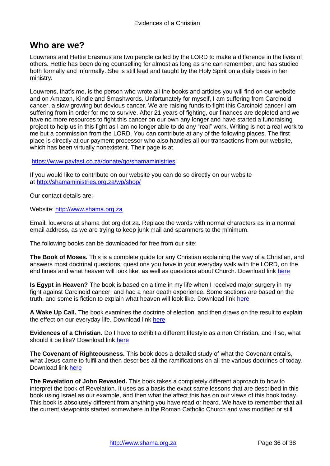# <span id="page-35-0"></span>**Who are we?**

Louwrens and Hettie Erasmus are two people called by the LORD to make a difference in the lives of others. Hettie has been doing counselling for almost as long as she can remember, and has studied both formally and informally. She is still lead and taught by the Holy Spirit on a daily basis in her ministry.

Louwrens, that's me, is the person who wrote all the books and articles you will find on our website and on Amazon, Kindle and Smashwords. Unfortunately for myself, I am suffering from Carcinoid cancer, a slow growing but devious cancer. We are raising funds to fight this Carcinoid cancer I am suffering from in order for me to survive. After 21 years of fighting, our finances are depleted and we have no more resources to fight this cancer on our own any longer and have started a fundraising project to help us in this fight as I am no longer able to do any "real" work. Writing is not a real work to me but a commission from the LORD. You can contribute at any of the following places. The first place is directly at our payment processor who also handles all our transactions from our website, which has been virtually nonexistent. Their page is at

<https://www.payfast.co.za/donate/go/shamaministries>

If you would like to contribute on our website you can do so directly on our website at <http://shamaministries.org.za/wp/shop/>

Our contact details are:

Website: [http://www.shama.org.za](http://www.shama.org.za/)

Email: louwrens at shama dot org dot za. Replace the words with normal characters as in a normal email address, as we are trying to keep junk mail and spammers to the minimum.

The following books can be downloaded for free from our site:

**The Book of Moses.** This is a complete guide for any Christian explaining the way of a Christian, and answers most doctrinal questions, questions you have in your everyday walk with the LORD, on the end times and what heaven will look like, as well as questions about Church. Download link [here](http://www.shamaministries.org.za/boeke/The%20Book%20of%20Moses.pdf)

**Is Egypt in Heaven?** The book is based on a time in my life when I received major surgery in my fight against Carcinoid cancer, and had a near death experience. Some sections are based on the truth, and some is fiction to explain what heaven will look like. Download link [here](http://www.shamaministries.org.za/boeke/Is%20Egypt%20in%20heaven.pdf)

**A Wake Up Call.** The book examines the doctrine of election, and then draws on the result to explain the effect on our everyday life. Download link [here](http://www.shamaministries.org.za/boeke/A%20Wakeup%20Call.pdf)

**Evidences of a Christian.** Do I have to exhibit a different lifestyle as a non Christian, and if so, what should it be like? Download link [here](http://www.shamaministries.org.za/boeke/Evidences%20of%20a%20Christian.pdf)

**The Covenant of Righteousness.** This book does a detailed study of what the Covenant entails, what Jesus came to fulfil and then describes all the ramifications on all the various doctrines of today. Download link [here](http://www.shamaministries.org.za/boeke/The%20Covenant%20of%20Righteousness.pdf)

**The Revelation of John Revealed.** This book takes a completely different approach to how to interpret the book of Revelation. It uses as a basis the exact same lessons that are described in this book using Israel as our example, and then what the affect this has on our views of this book today. This book is absolutely different from anything you have read or heard. We have to remember that all the current viewpoints started somewhere in the Roman Catholic Church and was modified or still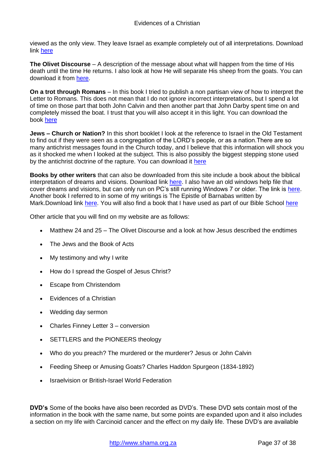viewed as the only view. They leave Israel as example completely out of all interpretations. Download link [here](http://www.shamaministries.org.za/boeke/The%20Revelation%20of%20John%20Revealed.pdf)

**The Olivet Discourse** – A description of the message about what will happen from the time of His death until the time He returns. I also look at how He will separate His sheep from the goats. You can download it from [here.](http://www.shamaministries.org.za/boeke/Matthew%2024%20and%2025.pdf)

**On a trot through Romans** – In this book I tried to publish a non partisan view of how to interpret the Letter to Romans. This does not mean that I do not ignore incorrect interpretations, but I spend a lot of time on those part that both John Calvin and then another part that John Darby spent time on and completely missed the boat. I trust that you will also accept it in this light. You can download the book [here](http://www.shamaministries.org.za/boeke/On%20a%20trot%20through%20Romans.pdf)

**Jews – Church or Nation?** In this short booklet I look at the reference to Israel in the Old Testament to find out if they were seen as a congregation of the LORD's people, or as a nation.There are so many antichrist messages found in the Church today, and I believe that this information will shock you as it shocked me when I looked at the subject. This is also possibly the biggest stepping stone used by the antichrist doctrine of the rapture. You can download it [here](http://www.shamaministries.org.za/boeke/Jews.pdf)

**Books by other writers** that can also be downloaded from this site include a book about the biblical interpretation of dreams and visions. Download link [here.](http://www.shamaministries.org.za/boeke/Dreams%20and%20Visions%20-%20A%20Biblical%20Perspective.pdf) I also have an old windows help file that cover dreams and visions, but can only run on PC's still running Windows 7 or older. The link is [here.](http://www.shamaministries.org.za/boeke/Dreams.hlp) Another book I referred to in some of my writings is The Epistle of Barnabas written by Mark.Download link [here.](http://www.shamaministries.org.za/boeke/THE%20EPISTLE%20OF%20BARNABAS%20-%20Mark.pdf) You will also find a book that I have used as part of our Bible School [here](http://www.shamaministries.org.za/boeke/The%20Shama%20Ministries%20Bible%20Course.pdf)

Other article that you will find on my website are as follows:

- Matthew 24 and 25 The Olivet Discourse and a look at how Jesus described the endtimes
- The Jews and the Book of Acts
- My testimony and why I write
- How do I spread the Gospel of Jesus Christ?
- Escape from Christendom
- Evidences of a Christian
- Wedding day sermon
- Charles Finney Letter 3 conversion
- SETTLERS and the PIONEERS theology
- Who do you preach? The murdered or the murderer? Jesus or John Calvin
- Feeding Sheep or Amusing Goats? Charles Haddon Spurgeon (1834-1892)
- Israelvision or British-Israel World Federation

**DVD's** Some of the books have also been recorded as DVD's. These DVD sets contain most of the information in the book with the same name, but some points are expanded upon and it also includes a section on my life with Carcinoid cancer and the effect on my daily life. These DVD's are available